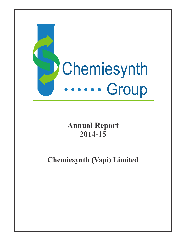

# **Annual Report 2014-15**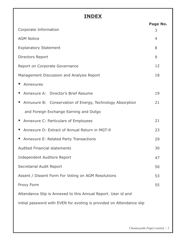# **INDEX**

|                                                                       | Page No. |  |  |
|-----------------------------------------------------------------------|----------|--|--|
| Corporate Information                                                 | 3        |  |  |
| <b>AGM Notice</b>                                                     | 4        |  |  |
| <b>Explanatory Statement</b>                                          | 8        |  |  |
| Directors Report                                                      | 9        |  |  |
| Report on Corporate Governance                                        | 12       |  |  |
| Management Discussion and Analysis Report                             | 18       |  |  |
| Annexures                                                             |          |  |  |
| Annexure A: Director's Brief Resume                                   | 19       |  |  |
| Annuxure B: Conservation of Energy, Technology Absorption             | 21       |  |  |
| and Foreign Exchange Earning and Outgo                                |          |  |  |
| Annexure C: Particulars of Employees                                  | 21       |  |  |
| Annexure D: Extract of Annual Return in MGT-9                         | 23       |  |  |
| Annexure E: Related Party Transactions                                | 29       |  |  |
| <b>Audited Financial statements</b>                                   | 30       |  |  |
| <b>Independent Auditors Report</b>                                    | 47       |  |  |
| Secretarial Audit Report                                              | 50       |  |  |
| Assent / Dissent Form For Voting on AGM Resolutions                   | 53       |  |  |
| Proxy Form                                                            | 55       |  |  |
| Attendance Slip is Annexed to this Annual Report. User id and         |          |  |  |
| initial password with EVEN for evoting is provided on Attendance slip |          |  |  |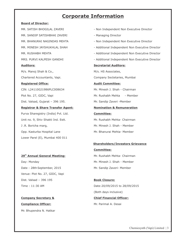# **Corporate Information**

#### **Board of Director:**

MR. SANDIP SATISHBHAI ZAVERI - Managing Director **Auditors: Secretarial Auditors:** M/s. Manoj Shah & Co., M/s. HS Associates, Chartered Accountants, Vapi. Company Sectetaries, Mumbai **Registered Office: Audit Committee:** CIN: L24110GJ1986PLC008634 Mr. Minesh J. Shah - Chairman Plot No. 27, GIDC, Vapi **Mr. Rushabh Mehta** - Member Dist. Valsad, Gujarat – 396 195. Mr. Sandip Zaveri -Member **Registrar & Share Transfer Agent: Nomination & Remuneration**  Purva Sharegistry (India) Pvt. Ltd. **Committee:** Unit no. 9, Shiv Shakti Ind. Estt. Mr. Rushabh Mehta- Chairman J.R. Boricha marg, Sandy Communication Mr. Minesh J. Shah - Member Opp. Kasturba Hospital Lane Manuel Mr. Bhanurai Mehta- Member Lower Parel (E), Mumbai 400 011

Day: Monday **Mr. Minesh J. Shah - Member** Date: 28th September, 2015 Mr. Sandip Zaveri- Member Venue: Plot No. 27, GIDC, Vapi Dist. Valsad – 396 195 **Book Closure:**

# **Company Secretary & Chief Financial Officer: Compliance Officer:** Mr. Parimal A. Desai

Mr. Bhupendra N. Hatkar

- MR. SATISH BHOGILAL ZAVERI Non Independent Non Executive Director
	-
- MR. BHANURAI NAGINDAS MEHTA Non Independent Non Executive Director
- MR. MINESH JAYSHUKHLAL SHAH Additional Independent Non Executive Director
- MR. RUSHABH MEHTA  **Additional Independent Non Executive Director** Additional Independent Non Executive Director
- MRS. PURVI KALPESH GANDHI Additional Independent Non Executive Director

# **Shareholders/Investors Grievance**

**Committee: 29th Annual General Meeting:** Mr. Rushabh Mehta- Chairman

Time : 11:30 AM Date:20/09/2015 to 28/09/2015 (Both days inclusive)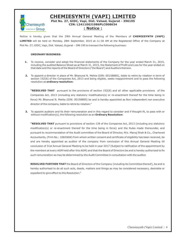

# **CHEMIESYNTH (VAPI) LIMITED**

#### **Plot No. 27, GIDC, Vapi, Dist. Valsad, Gujarat - 396195 CIN: L24110GJ1986PLC008634 : Notice :**

Notice is hereby given that the 29th Annual General Meeting of the Members of **CHEMIESYNTH (VAPI) LIMITED** will be held on Monday, 28th September, 2015 at 11:30 AM at the Registered Office of the Company at Plot No. 27, GIDC, Vapi, Dist. Valsad, Gujarat – 396 195 to transact the following business:

#### **ORDINARY BUSINESS:**

- **1.** To receive, consider and adopt the financial statements of the Company for the year ended March 31, 2015, including the audited Balance Sheet as at March 31, 2015, the Statement of Profit and Loss for the year ended on that date and the reports of the Board of Directors ('the Board') and Auditors thereon.
- **2.** To appoint a director in place of Mr. Bhanurai N. Mehta (DIN: 00158885), liable to retire by rotation in term of section 152(6) of the Companies Act, 2013 and being eligible, seeks reappointment and to pass the following resolution as **ordinary resolution:**

**"RESOLVED THAT** pursuant to the provisons of section 152(6) and all other applicable provisions of the Companies Act, 2013 (including any statutory modification(s) or re-enactment thereof for the time being in force) Mr. Bhanurai N. Mehta (DIN: 00158885) be and is hereby appointed as Non independent non executive director of the company, liable to retire by rotation."

**3.** To appoint auditors and fix their remuneration and in this regard to consider and if thought fit, to pass with or without modification(s), the following resolution as an **Ordinary Resolution:**

**"RESOLVED THAT** pursuant to provisions of section 139 of the Companies Act, 2013 (including any statutory modification(s) or re-enactment thereof for the time being in force) and the Rules made thereunder, and pursuant to recommendation of the Audit committee of the Board of Director, M/s. Manoj Shah & Co., Chartered Accountants, (Firm No.: 106036W) from whom written consent and certificate of eligibility has been received, be and are hereby appointed as auditor of the company from conclusion of this Annual General Meeting till conclusion of 31st Annual General Meeting to be held in year 2017 (Subject to ratification of the appointment by the members at every AGM held after this AGM) and that the Board of Directors be and is hereby authorized to fix such remuneration as may be determined by the Audit Committee in consultation with the auditor.

**RESOLVED FURTHER THAT** the Board of Directors of the Company (including its Committee thereof), be and is hereby authorised to do all such acts, deeds, matters and things as may be considered necessary, desirable or expedient to give effect to this Resolution."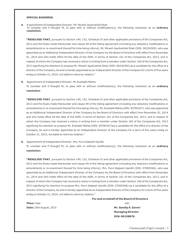#### **SPECIAL BUSINESS**:

**4.** A ppointment of Independent Director- Mr. Minesh Jayshukhlal Shah To consider and if thought fit, to pass with or without modification(s), the following resolution as an **ordinary resolution:**

**"RESOLVED THAT,** pursuant to Section 149, 152, Schedule IV and other applicable provisions of the Companies Act, 2013 and the Rules made thereunder and clause 49 of the listing agreement (including any statutory modifications or amendments or re-enactment thereof for time being inforce), Mr. Minesh Jayshukhlal Shah (DIN: 00236300), who was appointed as an Additional Independent Director of the Company by the Board of Directors with effect from November 01, 2014 and who holds office till the date of the AGM, in terms of Section 161 of the Companies Act, 2013, and in respect of whom the Company has received a notice in writing from a member under Section 160 of the Companies Act, 2013 signifying his intention to propose Mr. Minesh Jayshukhlal Shah (DIN: 00236300) as a candidate for the office of a director of the Company, be and is hereby appointed as an Independent Director of the Company for a term of five years endig on October 31, 2019, not liable to retire by rotation."

**5.** Appointment of Independent Director- Mr. Rushabh Mehta

To consider and if thought fit, to pass with or without modification(s), the following resolution as an **ordinary resolution**:

**"RESOLVED THAT**, pursuant to Section 149, 152, Schedule IV and other applicable provisions of the Companies Act, 2013 and the Rules made thereunder and clause 49 of the listing agreement (including any statutory modifications or amendments or re-enactment thereof for time being inforce), Mr. Rushabh Mehta (DIN: 00784327), who was appointed as an Additional Independent Director of the Company by the Board of Directors with effect from November 01, 2014 and who holds office till the date of the AGM, in terms of Section 161 of the Companies Act, 2013, and in respect of whom the Company has received a notice in writing from a member under Section 160 of the Companies Act, 2013 signifying his intention to propose Mr. Rushabh Mehta (DIN: 00784327)as a candidate for the office of a director of the Company, be and is hereby appointed as an Independent Director of the Company for a term of five years endig on October 31, 2019, not liable to retire by rotation."

**6.** Appointment of Independent Director- Mrs. Purvi Kalpesh Gandhi

To consider and if thought fit, to pass with or without modification(s), the following resolution as an **ordinary resolution:**

**"RESOLVED THAT**, pursuant to Section 149, 152, Schedule IV and other applicable provisions of the Companies Act, 2013 and the Rules made thereunder and clause 49 of the listing agreement (including any statutory modifications or amendments or re-enactment thereof for time being inforce), Mrs. Purvi Kalpesh Gandhi (DIN: 07009346), who was appointed as an Additional Independent Director of the Company by the Board of Directors with effect from November 01, 2014 and who holds office till the date of the AGM, in terms of Section 161 of the Companies Act, 2013, and in respect of whom the Company has received a notice in writing from a member under Section 160 of the Companies Act, 2013 signifying his intention to propose Mrs. Purvi Kalpesh Gandhi (DIN: 07009346) as a candidate for the office of a director of the Company, be and is hereby appointed as an Independent Director of the Company for a term of five years endig on October 31, 2019, not liable to retire by rotation."

#### **For and on behalf of the Board of Directors**

**Place :**Vapi Sd/-

**Date:** 25th August, 2015 **Mr. Sandip S. Zaveri Managing Director DIN: 00158876**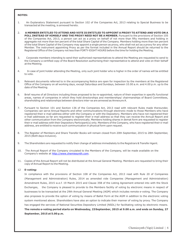#### **NOTES:**

- 1. An Explanatory Statement pursuant to Section 102 of the Companies Act, 2013 relating to Special Business to be transacted at the meeting, is annexed hereto.
- 2. **A MEMBER ENTITLED TO ATTEND AND VOTE IS ENTITLED TO APPOINT A PROXY TO ATTEND AND VOTE ON A POLL INSTEAD OF HIMSELF AND THE PROXY NEED NOT BE A MEMBER.** Pursuant to the provisions of Section 105 of the Companies Act, 2013, a person can act as a proxy on behalf of not more than fifty members and holding in aggregate not more than ten percent of the total Share Capital of the Company. Members holding more than ten percent of the total Share Capital of the Company may appoint a single person as proxy, who shall not act as a proxy for any other Member. The instrument appointing Proxy as per the format included in the Annual Report should be returned to the Registered Office of the Company not less than FORTY-EIGHT HOURS before the time for holding the Meeting.
- 3. Corporate members intending to send their authorized representatives to attend the Meeting are requested to send to the Company a certified copy of the Board Resolution authorising their representative to attend and vote on their behalf at the Meeting.
- 4. In case of joint holder attending the Meeting, only such joint holder who is higher in the order of names will be entitled to vote.
- 5. Relevant documents referred to in the accompanying Notice are open for inspection by the members at the Registered Office of the Company on all working days, except Saturdays and Sundays, between 10.00 a.m. and 4.00 p.m. up to the date of the Meeting.
- 6. Brief resume of all Directors including those proposed to be re-appointed, nature of their expertise in specific functional areas, names of companies in which they hold directorships and memberships/ chairmanships of Board Committees, shareholding and relationships between directors inter-se are annexed as Annexure A.
- 7. Pursuant to Section 101 and Section 136 of the Companies Act, 2013 read with relevant Rules made thereunder, Companies can serve Annual Reports and other communications through electronic mode to those Members who have registered their e-mail address either with the Company or with the Depository. Members who have not registered their e-mail addresses so far are requested to register their e-mail address so that they can receive the Annual Report and other communication from the Company electronically. Members holding shares in demat form are requested to register their e-mail address with their Depository Participant(s) only. Members of the Company, who have registered their e-mail address, are entitled to receive such communication in physical form upon request.
- 8. The Register of Members and Share Transfer Books will remain closed from 20th September, 2015 to 28th September, 2015 (Both days inclusive).
- 9. The Shareholders are requested to notify their change of address immediately to the Registrars & Transfer Agent.
- 10. The Annual Report of the Company circulated to the Members of the Company, will be made available on the Company's website at http://www.chemiesynth.com.
- 11. Copies of the Annual Report will not be distributed at the Annual General Meeting. Members are requested to bring their copy of Annual Report to the Meeting.

#### 12 **E-voting:**

In compliance with the provisions of Section 108 of the Companies Act, 2013 read with Rule 20 of Companies (Management and Administration) Rules, 2014 as amended vide Companies (Management and Administration) Amendment Rules, 2015 w.e.f. 19 March 2015 and Clause 35B of the Listing Agreement entered into with the Stock Exchanges, the Company is pleased to provide to the Members facility of voting by electronic means in respect of businesses to be transacted at the 29th Annual General Meeting (AGM) which includes remote e-voting. The Company also proposes to provide the option of voting by means of Ballot Form at the AGM in addition to the electronic voting system mentioned above. Shareholders have also an option to indicate their manner of voting by proxy. The Company has engaged the services of National Securities Depository Limited (NSDL) for facilitating voting by electronic means. **The remote e-voting period starts on Wednesday, 23September, 2015 at 9.00 a.m. and ends on Sunday, 27 September, 2015 at 5.00 p.m.**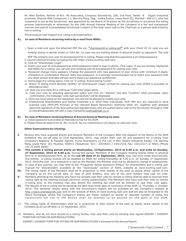Mr. Nitin Sarfare, Partner of M/s. HS Associates, Company Secretaries, 206, 2nd Floor, Tantia & Jogani Industrial premises, Sitaram Mills Compound, J. L. Boricha Marg, Opp. Lodha Exelus, Lower Parel [E], Mumbai - 400 011, who had consented to act as the Scrutinizer, was appointed by the Board of Directors as the Scrutiniser to scrutinize the voting process (electronically or otherwise) for the 29th Annual General Meeting of the Company in a fair and transparent manner and submit a consolidated Scrutinizer's report of the total votes cast to the Chairman or a person authorised by him in writing.

The procedure with respect to e-voting is provided below:

#### **A) In case of Members receiving notice by e-mail from NSDL:**

i. Open e-mail and open the attached PDF file viz; **"**chemiesynth.e-voting.pdf**"** with your Client ID (in case you are

holding shares in demat mode) or Folio No. (in case you are holding shares in physical mode) as password. The said

PDF file contains your user ID and password for e-voting. Please note that this password is an initial password.

- ii. Launch internet browser by typing the URL https://www.evoting.nsdl.com.
- iii. Click on "Shareholder-Login".
- iv. Insert your user ID and password as initial password noted in step (i) above. Click Login. If you are already registered with NSDL for e-voting, you can use your existing user ID and password for casting your vote.
- v. Password change menu appears. Change the password with new password of your choice with minimum 8 digits/ characters or combination thereof. Note new password. It is strongly recommended not to share your password with any other person and take utmost care to keep your password confidential.
- vi. Home page of e-voting opens. Click on "e-voting: Active Voting Cycles".
- vii. Select "E Voting Event Number (EVEN)" of Chemiesynth (Vapi) Limited for casting your vote (EVEN is provided on attendance slip).
- viii. Now you are ready for e-voting as "Cast Vote" page opens.
- ix. Cast your vote by selecting appropriate option and click on: "Submit" and also "Confirm" when prompted. Upon confirmation, the message "vote cast successfully" will be displayed.
- x. Once you have voted on the resolution, you will not be allowed to modify your vote.
- xi. Institutional Shareholders and bodies corporate (i.e. other than individuals, HUF, NRI etc) are required to send scanned copy (PDF/JPG Format) of the relevant Board Resolution/ Authority letter etc. together with attested specimen signature of the duly authorized signatory(ies) who are authorized to vote to the Scrutinizer through e-mail to nitin@hsassociats.net with a copy marked to evoting@nsdl.co.in.

#### **B) In case of Members receiving Notice of Annual General Meeting by post:**

a. Initial password is provided on Attendance Slip for the AGM.

b. Please follow all steps from Sl. No. (ii) to Sl. No.(xi) mentioned in (A) above, to cast your vote.

#### **Other Instructions for eVoting:**

- **I.** Persons who have acquired shares and became Members of the Company after the dispatch of the Notice of the AGM butbefore the cut-off date of 23rd September, 2015, may obtain their user ID and password for e-voting from Company's Registrar & Transfer Agents, Purva Sharegistry (I) Pvt Ltd, 9 Shiv Shakti Industrial Estate, J.R. Boricha Marg, Lower Parel (E), Mumbai, 400011 (Telephone: 022 - 23018261 / 23012518, Fax: 23012517) or NSDL (Phone +91 22 2499 4600).
- **II. The remote e-voting period starts on Wednesday, 23 September, 2015 at 9.00 a.m. and ends on Sunday, 27 September, 2015 at 5.00 p.m.** During this period, Members of the Company holding shares either in physical form or in dematerialized form, as on the **cut-off date of 21 September, 2015**, may cast their votes electronically. The remote e-voting module will be disabled by NSDL for voting thereafter at 5.00 p.m. on Sunday, 27 September, 2015. Once the vote on a resolution is cast by the Member, the Member shall not be allowed to change it subsequently.
- **III.** In case of any queries, you may refer to the "Frequently Asked Questions (FAQs)" for Shareholders and e-voting user manual for Shareholders available at the "downloads" section of NSDL website at www.evoting.nsdl.com.
- **IV.** The voting rights of the Members shall be in proportion to their shares of the paid up equity share capital of the Company as on the cut-off date. In case of joint holders, only one of the joint holders may cast his vote.
- **V.** Members attending the meeting who have not already cast their vote by remote e-voting shall be able to exercise their voting right at the meeting through electronic voting system/ballot. The Members who have cast their vote by remote e-voting prior to the meeting may also attend the meeting but shall not be entitled to cast their vote again.
- **VI.** The Results of the e-voting will be declared not later than three days of conclusion of the AGM i.e. Thursday, 1 October, 2015. The declared results along with the Scrutinizer's Report will be available on the Company's website at http://www.chemiesynth.com and on the website of NSDL at www.evoting.nsdl.com and will also be forwarded to the Stock Exchanges where the Company's shares are listed. Subject to receipt of requisite number of votes, the resolutions set out in the Notice shall be deemed to be passed on the date of the AGM.
- 13. The voting rights of Shareholders shall be in proportion to their shares of the paid up equity share capital of the Company as on cut off date i.e. 21 September, 2015.
- 14. Members, who do not have access to e-voting facility, may cast their vote by sending duly signed ASSENT / DISSENT FORM FOR VOTING ON AGM RESOLUTIONS.

ASSENT / DISSENT FORM FOR VOTING ON AGM RESOLUTIONS is annexed to this Annual Report.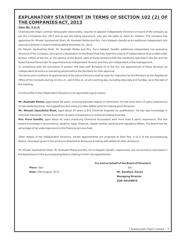# **EXPLANATORY STATEMENT IN TERMS OF SECTION 102 (2) OF THE COMPANIES ACT, 2013**

#### **Item No. 4 to 6:**

Chemiesynth (Vapi) Limited, being public listed entity, requires to appoint Independent Directors on board of the company as per the Companies Act, 2013 and as per the listing agreement, who are not liable to retire by rotation. The company has appointed Mr. Minesh Jayshukhlal Shah, Mr. Rushabh Mehta and Mrs. Purvi Kalpesh Gandhi as An additional independent non executive director in board meeting dated November 01, 2014.

Mr. Minesh Jayshukhlal Shah, Mr. Rushabh Mehta and Mrs. Purvi Kalpesh Gandhi, additional independent non-executive directors of the Company, have given a declaration to the Board that they meet the criteria of independence as provided under section 149(6) of the Act. In the opinion of the Board, each of these directors fulfil the conditions specified in the Act and the Rules framed thereunder for appointment as Independent Director and they are independent of the management.

In compliance with the provisions of section 149 read with Schedule IV of the Act, the appointment of these directors as Independent Directors is now being placed before the Members for their approval.

The terms and conditions of appointment of the above Directors shall be open for inspection by the Members at the Registered Office of the Company during 10.00 a.m. and 4.00 p.m. on any working day, excluding Saturday and Sunday, up to the date of the meeting.

A brief profile of the Independent Directors to be appointed is given below:

**Mr. Rushabh Mehta,** aged about 46 years, is having bachelor degree in commerce. He has more than 15 years experiences in real estate business. His suggestions and views provides added value for making good decisions.

**Mr. Minesh Jaysukhlal Shah,** aged about 45 years is B.E Chemical Engineer by qualification. He has vast knowledge in chemical industries. He has more than 10 years of experience in chemical trading business.

**Mrs. Purvi Gandhi,** aged about 40 years practicing Chartered Accountant with more than 5 years' experience. She has expert knowledge in accountancy, taxation, legal, financial, capital market, banking and regulatory affairs. The Board has the advantage of her wide experience in the financial services field.

Other details of the Independent Directors, whose appointments are proposed at Item Nos. 4 to 6 of the accompanying Notice, have been given in the annexure attached as Annexure A (along with details of other directors).

Mr. Minesh Jayshukhlal Shah, Mr. Rushabh Mehta and Mrs. Purvi Kalpesh Gandhi, respectively, are concerned or interested in the Resolutions of the accompanying Notice relating to their own appointment.

**Place** :Vapi Sd/-**Date:** 25th August, 2015 **Mr. Sandip S. Zaveri**

#### **For and on behalf of the Board of Directors**

 **Managing Director DIN: 00158876**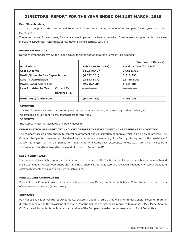# **DIRECTORS' REPORT FOR THE YEAR ENDED ON 31ST MARCH, 2015**

#### **Dear Shareholders,**

Your Directors present the 29th Annual Report and Audited Financial Statements of the company for the year ended 31st March, 2015.

The performance of the company for the year was impacted due to lessor market. Other reasons for poor performance are increasing labour cost, raising rate of raw materials and electricity cost, etc.

#### **FINANCIAL RESULTS**

During the year under review, the financial results on the operations of the Company are as under:

|                                            | (Amount in Rupees)         |                         |  |
|--------------------------------------------|----------------------------|-------------------------|--|
| <b>Particulars:</b>                        | <b>This Year (2014-15)</b> | Pervious Year (2013-14) |  |
| <b>Gross Income</b>                        | 111,549,497                | 97,651,716              |  |
| <b>Profit / (Loss) before Depreciation</b> | (6,892,561)                | 3,610,893               |  |
| Less : Depreciation                        | (2,813,897)                | (2,465,808)             |  |
| Profit (Loss) before Tax                   | (9,706,458)                | 1,145,085               |  |
| l Less Provision for Tax<br>: Current Tax  |                            |                         |  |
| : Deferred Tax                             |                            |                         |  |
| <b>Profit (Loss) for the year</b>          | (9,706,458)                | 1,145,085               |  |

#### **DIVIDEND**

In view of the loss incurred by the Company during the financial year, Directors regret their inability to recommend any dividend to the shareholders for the year.

#### **DEPOSITS :**

The Company has not accepted any public deposits.

#### **CONSERVATION OF ENERGY, TECHNOLOGY ABSORPTION, FOREIGN EXCHANGE EARNINGS AND OUTGO:**

The company accords high priority to control environment and conservation of energy, which is an on going process. The Company has planted trees to control and maintain environment surrounding of the factory. As required by the provisions of Section 134(3)(m) of the Companies Act, 2013 read with Companies (Accounts) Rules, 2014 are given in separate statement attached here to and forming part of the report (Annexure B).

#### **SAFETY AND HEALTH**

The Company gives highest priority to safety and occupational health. The factory buildings and machinery are maintained in safe condition. Process operations and handling of chemicals at the factory are reviewed frequently for safety. Adequate safety equipments are given to workers for safe guard.

#### **PARTICULARS OF EMPLOYEES**

Pursuant to the Companies (Appointment and Remuneration of Managerial Personnel) Rules, 2014, statement of particulars of employees is annexed. (Annexure C)

#### **AUDITORS:**

M/s Manoj Shah & Co, Chartered Accountants, statutory auditors retire at the ensuing Annual General Meeting. Board of directors, pursuant to the provisions of section 139 of the Companies Act, 2013, proposed to re appoint M/s. Manoj Shah & Co, Chartered Accountants, as Independent Auditor of the Company based on recommendation of Audit Committee.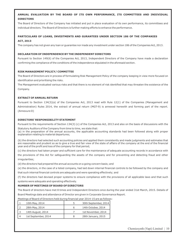#### **ANNUAL EVALUATION BY THE BOARD OF ITS OWN PERFORMANCE, ITS COMMITTEES AND INDIVIDUAL DIRECTORS**

The Board of Directors of the Company has initiated and put in place evaluation of its own performance, its committees and individual directors. The Board of Directors is further making efforts to enhance the performance.

#### **PARTICULARS OF LOANS, INVESTMENTS AND GURANTEES UNDER SECTION 186 OF THE COMPANIES ACT, 2013**

The company has not given any loan or guarantee nor made any investment under section 186 of the Companies Act, 2013.

#### **DECLARATION OF INDEPENDENCE BY THE INDEPENDENT DIRECTORS**

Pursuant to Section 149(6) of the Companies Act, 2013, Independent Directors of the Company have made a declaration confirming the compliance of the conditions of the independence stipulated in the aforesaid section.

#### **RISK MANAGEMENT POLICY/ COMMITTEE**

The Board of Directors are in process of formulating Risk Management Policy of the company keeping in view more focused on identification and prioritising the risks.

The Management evaluated various risks and that there is no element of risk identified that may threaten the existence of the Company.

#### **EXTRACT OF ANNUAL RETURN**

Pursuant to Section 134(3)(a) of the Companies Act, 2013 read with Rule 12(1) of the Companies (Management and Administration) Rules 2014, the extract of annual return (MGT-9) is annexed herewith and forming part of the report. (Annexure D)

#### **DIRECTORS' RESPONSIBILITY STATEMENT**

Pursuant to the requirements of Section 134(3) (c) of the Companies Act, 2013 and also on the basis of discussions with the

Statutory Auditors of the Company from time to time, we state that: (a) in the preparation of the annual accounts, the applicable accounting standards had been followed along with proper explanation relating to material departures;

(b) the directors had selected such accounting policies and applied them consistently and made judgments and estimates that are reasonable and prudent so as to give a true and fair view of the state of affairs of the company at the end of the financial year and of the profit and loss of the company for that period;

(c) the directors had taken proper and sufficient care for the maintenance of adequate accounting records in accordance with

the provisions of this Act for safeguarding the assets of the company and for preventing and detecting fraud and other irregularities;

(d) the directors had prepared the annual accounts on a going concern basis; and

(e) the directors, in the case of a listed company, had laid down internal financial controls to be followed by the company and that such internal financial controls are adequate and were operating effectively; and

(f) the directors had devised proper systems to ensure compliance with the provisions of all applicable laws and that such systems were adequate and operating effectively.

#### **NUMBER OF MEETINGS OF BOARD OF DIRECTORS**

The Board of directors have met 8 times and Independent Directors once during the year ended 31st March, 2015. Details of Board Meetings date and attendance of Director are given in Corporate Governance Report.

| Meetings of Board of Directors held during financial year 2014-15 are as follows: |  |  |
|-----------------------------------------------------------------------------------|--|--|
|-----------------------------------------------------------------------------------|--|--|

| 10th May, 2014      | 30th September, 2014 |
|---------------------|----------------------|
| 28th May, 2014      | 14th October, 2014   |
| 14th August, 2014   | 1st November, 2014   |
| 1st September, 2014 | 28th January, 2015   |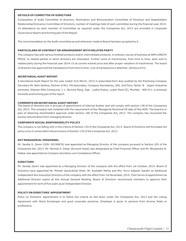#### **DETAILS OF COMMITTEE OF DIRECTORS**

Composition of Audit Committee of directors, Nomination and Remuneration Committee of Directors and Stakeholders Relationship/Grievance Committee of Directors, number of meetings held of each committee during the financial year 2014- 15 attandance by each member of Committee as required under the Companies Act, 2013 are provided in Corporate Governance Report and forming part of the Report.

The recommendation by the Audit committee as and whenever made to Board has been accepted by it.

#### **PARTICULARS OF CONTRACT OR ARRANGEMENT WITH RELATED PARTY**

The company has sold various finished products and/or intermediate products, in ordinary course of business at ARM LENGTH PRICE, to related parties in which directors are interested. Further some of machineries, from time to time, were sold to related party during the financial year 2014-15 at current market price and after proper valuation of machineries. The board of directors has approved the transactions from time to time. (List of transactions is attached. (Annexure E))

#### **SECRETARIAL AUDIT REPORT**

A Secretarial Audit Report for the year ended 31st March, 2015 in prescribed form duly audited by the Practising Company Secretary Mr. Nitin Sarfare, Partner of M/s. HS Associates, Company Secretaries, 206, 2nd Floor, Tantia & Jogani Industrial premises, Sitaram Mills Compound, J. L. Boricha Marg, Opp. Lodha Exelus, Lower Parel [E], Mumbai - 400 011, is annexed herewith and forming part of the report.

#### **COMMENTS ON SECRETARIAL AUDIT REPORT**

The board of directors are in process of appointment of Internal Auditor and will comply with section 138 of the Companies Act, 2013. The company had complied with the requirement of Key Managerial Personnel till date of this AGM. The board is in plan of obtaining shareholders approval under Section 180 of the Companies Act, 2013. The company has recovered the excess remuneration from managing director.

#### **CORPORATE SOCIAL RESPONSIBILITY POLICY**

The company is not falling with in the criteria of Section 135 of the Companies Act, 2013. Board of Directors will formulate the policy once it comes within the provisions of Section 135 of the Companies Act, 2013.

#### **KEY MANAGERIAL PERSONNEL**

Mr. Sandip S. Zaveri (DIN: 00158876) was appointed as Managing Director of the company pursuant to Section 203 of the Companies Act, 2013. Mr. Parimal A. Desai (Account Head) was designated as Chief Financial Officer and Mr. Bhupendra N. Hatkar was appointed as Company Secretary cum Compliance Officer.

#### **DIRECTORS**

Mr. Sandip Zaveri was appointed as a Managing Director of the company with the effect from 1st October, 2014. Board of Directors have appointed Mr. Minesh Jayshukhlal Shah, Mr. Rushabh Mehta and Mrs. Purvi Kalpesh Gandhi as Additional Independent Non Executive Directors of the company with the effect from 1st November, 2014. Their terms of appointment as Additional Director expire at this Annual General Meeting. Board of Directors recommend members to approve their appointment for term of five years as an Independent Director.

#### **POLICY ON DIRECTORS' APPOINTMENT**

Policy on Directors' appointment is to follow the criteria as laid down under the Companies Act, 2013 and the Listing Agreement with Stock Exchanges and good corporate practices. Emphasis is given to persons from diverse fields or professions.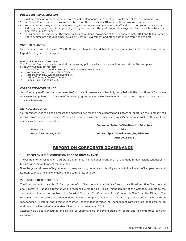#### **POLICY ON REMUNERATION**

- Guiding Policy on remuneration of Directors, Key Managerial Personnel and employees of the Company is that
- **Remuneration to unionised workmen is based on the periodical settlement with the workmen union.**
- Remuneration to Key Managerial Personnel, Senior Executives, Managers, Staff and Workmen (non Unionised) is industry driven in which it is operating taking into account the performance leverage and factors such as to attract and retain quality talent.
- For Directors, it is based on the shareholders resolutions, provisions of the Companies Act, 2013 and Rules framed therein, circulars and guidelines issued by Central Government and other authorities from time to time.

#### **VIGIL MECHANISM**

Your Company has put in place Whistle Blower Mechanism. The detailed mechanism is given in Corporate Governance Report forming part of this report.

#### **POLICIES OF THE COMPANY**

The Board of Directors has formulated the following policies which are available on web site of the company http://www.chemiesynth.com.

- 1. Code Of Business Conduct For Directors And Senior Executives
- 2. Nomination and Remuneration Policy
- 3. Vigil Mechanism / Whistle Blower Policy
- 4. Insider Trading Code of Conduct
- 5. Code of Fair Disclosure CSL

#### **CORPORATE GOVERNANCE**

Your Company reaffirms its commitment to Corporate Governance and has fully complied with the conditions of Corporate Governance stipulated in Clause 49 of the Listing Agreement with Stock Exchanges. A report on Corporate Governance is attached herewith.

#### **ACKNOWLEDGEMENT**

Your Directors wish to place on record their appreciation for the whole hearted and sincere co-operation the Company has received from its banker, Bank of Baroda and various Government agencies. Your Directors also wish to thank all the employees for their co-operation.

**Place** :Vapi Sd/-

**Date:** 25st August, 2015 **Mr. Sandip S. Zaveri**, **Managing Director DIN: 00158876** 

**For and on behalf of the Board of Directors**

# **REPORT ON CORPORATE GOVERNANCE**

#### **1. COMPANY'S PHILOSOPHY ON CODE OF GOVERNANCE.**

The Company's philosophy on Corporate Governance is aimed at assisting the management in the efficient conduct of its business in a fair and transparent manner.

It envisages attainment of higher level of transparency, greater accountability and equity in all facets of its operations and its interaction with its stakeholders and the community at large.

#### **2. BOARD OF DIRECTORS:**

The Board as on 31st March, 2015 comprises of six Directors out of which five Directors are Non-Executive Directors and one Director is Managing Director who is responsible for the day-to-day management of the Company subject to the supervision, direction and control of the Board of Directors. The Chairman of the Company is Non-Executive Director. The remaining three Directors are Independent Directors comprises half of the total strength of the Board. Out of three Independent Directors, one director is Women Independent Director. All Independent Directors are appointed as an Additional Non Executive Independent Director on 1st November, 2014.

Attendance at Board Meetings and Details of Chairmanship and Membership on board and in committees of other companies.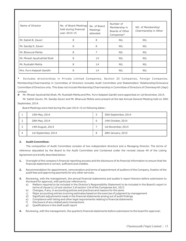| Name of Director            | No. of Board Meetings<br>held during financial<br>year 2014-15 | No. of Board<br>Meetings<br>attended | Number of<br>Membership in<br>Boards of Other<br>Companies* | NO. of Membership/<br>Chairmanship in Other |
|-----------------------------|----------------------------------------------------------------|--------------------------------------|-------------------------------------------------------------|---------------------------------------------|
| Mr. Satish B. Zaveri        | 8                                                              | 8                                    | <b>NIL</b>                                                  | <b>NIL</b>                                  |
| Mr. Sandip S. Zaveri        | 8                                                              | 8                                    | <b>NIL</b>                                                  | <b>NIL</b>                                  |
| Mr. Bhanurai Mehta          | 8                                                              |                                      | <b>NIL</b>                                                  | <b>NIL</b>                                  |
| Mr. Minesh Jayshukhlal Shah | 8                                                              | 1#                                   | <b>NIL</b>                                                  | <b>NIL</b>                                  |
| Mr. Rushabh Mehta           | 8                                                              | 1#                                   | <b>NIL</b>                                                  | <b>NIL</b>                                  |
| Mrs. Purvi Kalpesh Gandhi   | 8                                                              | 1#                                   | <b>NIL</b>                                                  | <b>NIL</b>                                  |

**\*** Excludes directorships in Private Limited Companies, Section 25 Companies, Foreign Companies. Membership/Chairmanship in Committee of Directors includes Audit Committee and Stakeholders' Relationship/Grievance Committee of Directors only. This does not include Membership/Chairmanship in Committee of Directors of Chemiesynth (Vapi) Limited.

**#** Mr. Minesh Jayshukhlal Shah, Mr. Rushabh Mehta and Mrs. Purvi Kalpesh Gandhi were appointed on 1st November, 2014.

Mr. Satish Zaveri, Mr. Sandip Zaveri and Mr. Bhanurai Mehta were present at the last Annual General Meeting held on 30th September, 2014.

Board Meetings were held during the year 2014-15 on following dates :

|   | 10th May, 2014      |   | 30th September, 2014 |
|---|---------------------|---|----------------------|
|   | 28th May, 2014      | ь | 14th October, 2014   |
|   | 14th August, 2014   |   | 1st November, 2014   |
| 4 | 1st September, 2014 | 8 | 28th January, 2015   |

#### **3. Audit Committee:**

The composition of Audit Committee consists of two independent directors and a Managing Director. The terms of reference stipulated by the Board to the Audit Committee and Contained under the revised clause 49 of the Listing Agreement are briefly described below:

- **1.** Oversight of the company's financial reporting process and the disclosure of its financial information to ensure that the financial statement is correct, sufficient and credible.
- **2.** Recommendation for appointment, remuneration and terms of appointment of auditors of the Company, fixation of the audit fees and approving payments for any other services.
- **3.** Reviewing, with the management, the annual financial statements and auditor's report thereon before submission to the board for approval, with particular reference to:
	- a) Matters required to be included in the Director's Responsibility Statement to be included in the Board's report in terms of clause (c) of sub-section 3 of section 134 of the Companies Act, 2013
	- b) Changes, if any, in accounting policies and practices and reasons for the same
	- c) Major accounting entries involving estimates based on the exercise of judgment by management
	- d) Significant adjustments made in the financial statements arising out of audit findings
	- e) Compliance with listing and other legal requirements relating to financial statements
	- f) Disclosure of any related party transactions
	- g) Qualifications in the draft audit report

**4.** Reviewing, with the management, the quarterly financial statements before submission to the board for approval;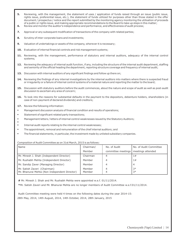- **5.** Reviewing, with the management, the statement of uses / application of funds raised through an issue (public issue, rights issue, preferential issue, etc.), the statement of funds utilized for purposes other than those stated in the offer document / prospectus / notice and the report submitted by the monitoring agency monitoring the utilisation of proceeds of a public or rights issue, and making appropriate recommendations to the Board to take up steps in this matter;
- **6.** Review and monitor the auditor's independence and performance, and effectiveness of audit process;
- **7.** Approval or any subsequent modification of transactions of the company with related parties;
- **8.** Scrutiny of inter-corporate loans and investments;
- **9.** Valuation of undertakings or assets of the company, wherever it is necessary;
- **10.** Evaluation of internal financial controls and risk management systems;
- **11.** Reviewing, with the management, performance of statutory and internal auditors, adequacy of the internal control systems;
- **12.** Reviewing the adequacy of internal audit function, if any, including the structure of the internal audit department, staffing and seniority of the official heading the department, reporting structure coverage and frequency of internal audit;
- **13.** Discussion with internal auditors of any significant findings and follow up there on;
- **14.** Reviewing the findings of any internal investigations by the internal auditors into matters where there is suspected fraud or irregularity or a failure of internal control systems of a material nature and reporting the matter to the board;
- **15.** Discussion with statutory auditors before the audit commences, about the nature and scope of audit as well as post-audit discussion to ascertain any area of concern;
- 16. To look into the reasons for substantial defaults in the payment to the depositors, debenture holders, shareholders (in case of non-payment of declared dividends) and creditors;
- **17.** Review the following information:
- Management discussion analysis of financial condition and results of operations;
- **Statement of significant related party transactions;**
- Management letters / letters of internal control weaknesses issued by the Statutory Auditors;
- E **Internal audit reports relating to the internal control weaknesses;**
- The appointment, removal and remuneration of the chief internal auditors; and
- The financial statements, in particular, the investment made by unlisted subsidiary companies.

#### Composition of Audit Committee as on 31st March, 2015 is as follows:

| <b>Name</b>                                                                   | Chairman/        | No. of Audit                           | No. of Audit Committee |
|-------------------------------------------------------------------------------|------------------|----------------------------------------|------------------------|
|                                                                               | Member           | committee meetings   meetings attended |                        |
| Mr. Minesh J. Shah (Independent Director)                                     | Chairman         |                                        | 1#                     |
| Mr. Rushabh Mehta (Independent Director)                                      | Member           | 4                                      | 1#                     |
| Mr. Sandip Zaver (Managing Director)                                          | Member           | 4                                      |                        |
| Mr. Satish Zaveri (Chairman)<br>Mr. Bhanurai Mehta (Non Independent Director) | Member<br>Member | 4                                      | $3*$<br>$3*$           |

**#** Mr. Minesh J. Shah and Mr. Rushabh Mehta were appointed w.e.f. 01/11/2014.

**\***Mr. Satish Zaveri and Mr. Bhanurai Mehta are no longer members of Audit Committee w.e.f.01/11/2014.

Audit Committee meeting were held 4 times on the following dates during the year 2014-15: 28th May, 2014, 14th August, 2014, 14th October, 2014, 28th January, 2015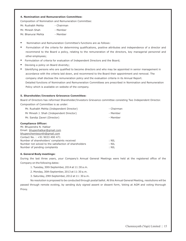#### **4. Nomination and Remuneration Committee:**

Composition of Nomination and Remuneration Committee:

| Mr. Rushabh Mehta | - Chairman |
|-------------------|------------|
|-------------------|------------|

- Mr. Minesh Shah Member
- Mr. Bhanurai Mehta Member
- 
- Nomination and Remuneration Committee's functions are as follows:
- Formulation of the criteria for determining qualifications, positive attributes and independence of a director and recommend to the Board a policy, relating to the remuneration of the directors, key managerial personnel and other employees;
- Formulation of criteria for evaluation of Independent Directors and the Board;
- Devising a policy on Board diversity;
- Identifying persons who are qualified to become directors and who may be appointed in senior management in accordance with the criteria laid down, and recommend to the Board their appointment and removal. The company shall disclose the remuneration policy and the evaluation criteria in its Annual Report. Detailed functions of Nomination and Remuneration Committees are prescribed in Nomination and Remuneration Policy which is available on website of the company.

#### **5. Shareholder/Investors Grievance Committee:**

Board of Directors has reformed Shareholder/Investors Grievance committee consisting Two Independent Director.

Composition of Committee is as under:

| Mr. Rushabh Mehta (Independent Director)                       | - Chairman |  |
|----------------------------------------------------------------|------------|--|
| Mr Minesh J. Shah (Independent Director)                       | - Member   |  |
| Mr. Sandip Zaveri (Director)                                   | - Member   |  |
| <b>Compliance Officer:</b>                                     |            |  |
| Mr. Bhupendra N. Hatkar                                        |            |  |
| Email: bhupenhatkar@gmail.com                                  |            |  |
| bhupenchemiesynth@gmail.com                                    |            |  |
| Contact No.: +91 9033 490 471                                  |            |  |
| Number of shareholders' complaints received                    | $:$ NIL    |  |
| Number not solved to the satisfaction of shareholders<br>: NIL |            |  |

Number of pending complaints in the state of the NIL state of the NIL state of the NIL state of the NIL state of the NIL state of the NIL state of the NIL state of the NIL state of the NIL state of the NIL state of the NIL

#### **6. General Body meetings:**

During the last three years, your Company's Annual General Meetings were held at the registered office of the Company on the following dates:

- 1. Tuesday, 30th September, 2014 at 11:30 a.m.
- 2. Monday, 30th September, 2013 at 11:30 a.m.
- 3. Saturday, 29th September, 2012 at 11: 30 a.m.
- No resolution is proposed to be conducted through postal ballot. At this Annual General Meeting, resolutions will be

passed through remote evoting, by sending duly signed assent or dissent form, Voting at AGM and voting thorough Proxy.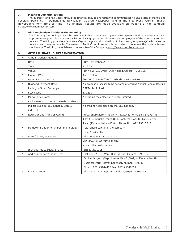#### **7. Means of Communication:**

The quarterly and half yearly unaudited financial results are forthwith communicated to BSE stock exchange and generally published in Damanganga Newspaper (Gujarati Newspaper) and in The Free Press Journal (English Newspaper) from time to time. The financial results are made available on website of the company http://www.chemiesynth.com.

#### **8. Vigil Mechanism / Whistle Blower Policy**

The Company has put in place a Whistle Blower Policy to provide an open and transparent working environment and to promote responsible and secure whistle blowing system for directors and employees of the Company to raise concern. The Policy provides adequate safeguard against victimisation of director(s) / employee(s) who raise the concern and have access to Chairman of Audit Committee who is entrusted to oversee the whistle blower mechanism. The Policy is available on the website of the Company http://www.chemiesynth.com.

#### **9. GENERAL SHAREHOLDERS INFORMATION:**

| $\ast$ | Annual General Meeting                    |                                                                       |
|--------|-------------------------------------------|-----------------------------------------------------------------------|
|        | Date                                      | 28th September, 2015                                                  |
|        | Time                                      | 11:30a.m.                                                             |
|        | Venue                                     | Plot no. 27 GIDCVapi, Dist. Valsad, Gujarat - 396 195                 |
| $\ast$ | <b>Financial Year</b>                     | April to March                                                        |
| $\ast$ | Date of Book Closure                      | 20/09/2015 to28/09/2015(both daysinclusive)                           |
| $\ast$ | Dividend Payment Date                     | No dividend proposed to be declared at ensuing Annual General Meeting |
| $\ast$ | Listing on Stock Exchange                 | <b>BSE India Limited</b>                                              |
| $\ast$ | Stock code                                | 539230                                                                |
| $\ast$ | Market Price Data:                        | No trading took place on the BSE Limited.                             |
| $\ast$ | Performance in comparison to broad-based  |                                                                       |
|        | indices such as BSE Sensex, CRISIL        | No trading took place on the BSE Limited.                             |
|        | index etc.                                |                                                                       |
| $\ast$ | Registrar and Transfer Agents             | Purva Sharegistry (India) Pvt. Ltd.Unit no. 9, Shiv Shakti Ind.       |
|        |                                           | Estt.J .R. Boricha marg, Opp. Kasturba Hospital Lane, Lower           |
|        |                                           | Parel (E), Mumbai - 400 011. Phone No.: 022 23012518                  |
| $\ast$ | Dematerialization of shares and liquidity | Total share capital of the company                                    |
|        |                                           | is in Physical Form.                                                  |
| $\ast$ | ADRs/ GDRs/ Warrants                      | The company has not issued                                            |
|        |                                           | ADRs/GDRs/Warrants or any                                             |
|        |                                           | convertible instruments.                                              |
|        | ISIN allotted to Equity Shares            | INE829R01018                                                          |
| $\ast$ | Address for correspondence                | Plot no. 27 GIDCVapi, Dist. Valsad, Gujarat -396195                   |
|        |                                           | Orchemiesynth (Vapi) LimitedB- 401/402, 4 Floor, Nilkanth             |
|        |                                           | Business Park, Vidyavihar West. Mumbai 400086.                        |
|        |                                           | Phone: 022-25144402 Fax: 022-25146591                                 |
|        | <b>Plant Location</b>                     | Plot no. 27 GIDCVapi, Dist. Valsad, Gujarat -396195                   |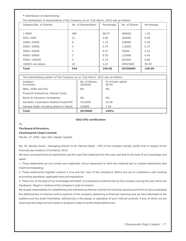| * Distribution of shareholding                                                         |                     |            |               |            |
|----------------------------------------------------------------------------------------|---------------------|------------|---------------|------------|
| The distribution of shareholding of the Company as on 31st March, 2015 was as follows: |                     |            |               |            |
| Category (No. of Shares)                                                               | No. of Shareholders | Percentage | No. of Shares | Percentage |
|                                                                                        |                     |            |               |            |
| 1-5000                                                                                 | 484                 | 88.97      | 384000        | 1.25       |
| 5001-1000                                                                              | 21                  | 3.86       | 183000        | 0.60       |
| 10001-20000                                                                            | 6                   | 1.10       | 106000        | 0.35       |
| 20001-30000                                                                            | 4                   | 0.74       | 113000        | 0.37       |
| 30001-40000                                                                            | 2                   | 0.37       | 70000         | 0.23       |
| 40001-50000                                                                            | 3                   | 0.55       | 123000        | 0.40       |
| 50001-100000                                                                           | 4                   | 0.74       | 263400        | 0.86       |
| $100001$ and above                                                                     | 20                  | 3.67       | 29457600      | 95.95      |
| <b>Total</b>                                                                           | 544                 | 100.00     | 30700000      | 100.00     |

| The shareholding pattern of the Company as on 31st March, 2015 was as follows: |                          |                             |  |
|--------------------------------------------------------------------------------|--------------------------|-----------------------------|--|
| Category<br>Promoters                                                          | No. of Shares<br>1825200 | % of total capital<br>59.45 |  |
| NRIs, OCBs and FIIs                                                            | <b>NIL</b>               | <b>NIL</b>                  |  |
| Financial Institutions, Mutual Funds,                                          |                          |                             |  |
| Banks & Insurance Companies                                                    | <b>NIL</b>               | NIL                         |  |
| Domestic Corporation Bodies/Trusts/HUF                                         | 1012000                  | 32.96                       |  |
| General Public including shares in transit                                     | 232800                   | 7.59                        |  |
| <b>Total</b>                                                                   | 3070000                  | 100%                        |  |

#### **CEO/CFO certification**

To,

#### **The Board of Directors,**

#### **Chemiesynth (Vapi) Limited.**

Plot No. 27, GIDC, Vapi, Dist. Valsad, Gujarat.

We, Mr. Sandip Zaveri - Managing director & Mr. Parimal Desai - CFO of the company hereby certify that in respect of the financial year ended on 31st March, 2015.

We have reviewed financial statements and the cash flow statement for the year and that to the best of our knowledge and belief:

1. These statements do not contain any materially untrue statement or omit any material fact or contain statements that might be misleading;

2. These statements together present a true and fair view of the company's affairs and are in compliance with existing accounting standards, applicable laws and regulations.

3. There are, to the best of our knowledge and belief, no transactions entered into by the company during the year which are fraudulent, illegal or violative of the company's code of conduct.

We accept responsibility for establishing and maintaining internal controls for financial reporting and that we have evaluated the effectiveness of internal control systems of the company pertaining to financial reporting and we have disclosed to the auditors and the Audit Committee, deficiencies in the design or operation of such internal controls, if any, of which we are aware and the steps we have taken or propose to take to rectify these deficiencies.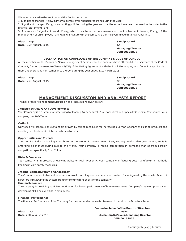We have indicated to the auditors and the Audit committee:

1. Significant changes, if any, in internal control over financial reporting during the year;

2. Significant changes, if any, in accounting policies during the year and that the same have been disclosed in the notes to the financial statements; and

3. Instances of significant fraud, if any, which they have become aware and the involvement therein, if any, of the management or an employee having a significant role in the company's Control system over financial reporting.

**Place:** Vapi **Sandip Zaveri** *Sandip Zaveri**Sandip Zaveri**Sandip Zaveri**Sandip Zaveri**Sandip Zaveri**Sandip Zaveri**Sandip Zaveri**Sandip Zaveri**Sandip Zaveri**Sandip Zaveri**Sandip Zaveri**Sandip Zaveri* **Date:** 25th August, 2015 Sd/-

**Managing Director DIN: 00158876**

#### **DECLARATION ON COMPLIANCE OF THE COMPANY'S CODE OF CONDUCT**

All the members of the Board and Senior Management Personnel of the Company have affirmed due observance of the Code of Conduct, framed pursuant to Clause 49(IIE) of the Listing Agreement with the Stock Exchanges, in so far as it is applicable to them and there is no non-compliance thereof during the year ended 31st March, 2015.

**Place:** Vapi **Sandip Zaveri Date:** 25th August, 2015 Sd/-

**Managing Director DIN: 00158876**

### **MANAGEMENT DISCUSSION AND ANALYSIS REPORT**

The key areas of Management Discussion and Analysis are given below:

#### **Industry Structure And Developments**

Your Company is a custom manufacturing for leading Agrochemical, Pharmaceutical and Specialty Chemical Companies. Your company has R&D Team.

#### **Outlook**

Our focus will continue on sustainable growth by taking measures for increasing our market share of existing products and creating new business in niche industry customers.

#### **Opportunities and Threats**

The chemical industry is a key contributor in the economic development of any country. With stable government, India is emerging as manufacturing hub to the World. Your company is facing competition in domestic market from Foreign competitors, specifically from China.

#### **Risks & Concerns**

Your company is in process of evolving policy on Risk. Presently, your company is focusing best manufacturing methods keeping in view safety measures.

#### **Internal Control System and Adequacy**

The Company has suitable and adequate internal control system and adequacy system for safeguarding the assets. Board of Directors is reviewing the system from time to time for benefits of the company.

#### **Human Resources**

The company is providing sufficient motivation for better performance of human resources. Company's main emphasis is on developing skill and expertise in employees.

#### **Financial Performance**

The financial Performance of the Company for the year under review is discussed in detail in the Directors Report.

 **For and on behalf of the Board of Directors Place:** Vapi **Sd/- Date:** 25th August, 2015 **Mr. Sandip S. Zaveri, Managing Director DIN: 00158876**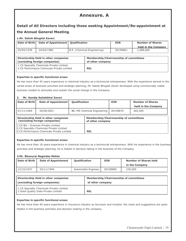# Chemiesynth (Vapi) Limited | 19 **Annexure. A**

# **Detail of All Directors including those seeking Appointment/Re-appointment at the Annual General Meeting**.

#### **1.Mr. Satish Bhogilal Zaveri.**

| Date of Birth | Date of Appointment   Qualification |                             | DIN      | <b>Number of Shares</b>          |
|---------------|-------------------------------------|-----------------------------|----------|----------------------------------|
| 25/04/1938    | 24/04/1986                          | B.E. (Chemical Engineering) | 00158861 | held in the Company<br>1,088,660 |

| Directorship Held in other companies                                                   | <b>Membership/Chairmanship of committees</b> |
|----------------------------------------------------------------------------------------|----------------------------------------------|
| (excluding foreign companies)                                                          | of other company                             |
| 1.CS Specialty Chemicals Private Limited<br>2.CS Performance Chemicals Private Limited | <b>NIL</b>                                   |

#### **Expertise in specific functional areas:**

He has more than 45 years experience in chemical industry as a technocrat entrepreneur. With the experience earned in the varied areas of business activities and strategic planning, Mr. Satish Bhogilal Zaveri developed using commercially viable business models to stimulate and sustain the social change in the Company.

#### **2. Mr. Sandip Satishbhai Zaveri**

| Date of Birth                                                                                                                 | Date of Appointment | <b>Qualification</b>                                             |                             | <b>DIN</b> | <b>Number of Shares</b> |
|-------------------------------------------------------------------------------------------------------------------------------|---------------------|------------------------------------------------------------------|-----------------------------|------------|-------------------------|
|                                                                                                                               |                     |                                                                  |                             |            | held in the Company     |
| 07/11/1969                                                                                                                    | 30/06/2001          |                                                                  | BE, MS Chemical Engineering | 00158876   | 360,500                 |
| Directorship Held in other companies<br>(excluding foreign companies)                                                         |                     | <b>Membership/Chairmanship of committees</b><br>of other company |                             |            |                         |
| 1.CS Bio - Sciences Private Limited<br>2.CS Specialty Chemicals Private Limited<br>3.CS Performance Chemicals Private Limited |                     | <b>NIL</b>                                                       |                             |            |                         |

#### **Expertise in specific functional areas:**

He has more than 18 years experience in chemical industry as a technocrat entrepreneur. With his experience in the business activities and strategic planning, he is helpful in decision taking in the business of the Company.

#### **3.Mr. Bhanurai Nagindas Mehta**

| l Date of Birth | Date of Appointment | <b>Oualification</b> | <b>DIN</b> | <b>Number of Shares held</b> |
|-----------------|---------------------|----------------------|------------|------------------------------|
|                 |                     |                      |            | in the Company               |
| 12/10/1937      | 02/11/1994          | Automobile Engineer  | 00158885   | 239,000                      |

| Directorship Held in other companies                                               | <b>Membership/Chairmanship of committees</b> |
|------------------------------------------------------------------------------------|----------------------------------------------|
| (excluding foreign companies)                                                      | of other company                             |
| 1.CS Specialty Chemicals Private Limited<br>2. Solid Quality India Private Limited | <b>NIL</b>                                   |

#### **Expertise in specific functional areas:**

He has more than 40 years experience in insurance industry as Surveyor and investor. His views and suggestions are quite helpful in the business activities and decision making in the company.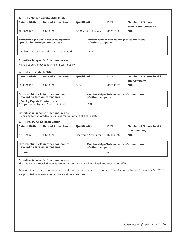| Mr. Minesh Jayshukhlal Shah<br>4.                                     |                            |                      |                             |            |                                              |  |
|-----------------------------------------------------------------------|----------------------------|----------------------|-----------------------------|------------|----------------------------------------------|--|
| Date of Birth                                                         | <b>Date of Appointment</b> | <b>Qualification</b> |                             | <b>DIN</b> | <b>Number of Shares</b>                      |  |
|                                                                       |                            |                      |                             |            | held in the Company                          |  |
| 06/08/1970                                                            | 01/11/2014                 |                      | <b>BE Chemical Engineer</b> | 00236300   | <b>NIL</b>                                   |  |
| Directorship Held in other companies<br>(excluding foreign companies) |                            |                      | of other company            |            | <b>Membership/Chairmanship of committees</b> |  |
| 1. Solarson Chemicals Taloja Private Limited                          |                            |                      | <b>NIL</b>                  |            |                                              |  |

#### **Expertise in specific functional areas:**

He has expert knowledge in chemical industry.

#### **5. Mr. Rushabh Mehta**

| <b>Date of Birth</b> | <b>Date of Appointment</b> | <b>Oualification</b> | <b>DIN</b> | <b>Number of Shares held in</b> |
|----------------------|----------------------------|----------------------|------------|---------------------------------|
|                      |                            |                      |            | the Company                     |
| 18/11/1968           | 01/11/2014                 | B.Com                | 00784327   | <b>NIL</b>                      |

| Directorship Held in other companies                                         | <b>Membership/Chairmanship of committees</b> |
|------------------------------------------------------------------------------|----------------------------------------------|
| (excluding foreign companies)                                                | of other company                             |
| 1. Felicity Exports Private Limited<br>2. Royal House Agency Private Limited | <b>NIL</b>                                   |

#### **Expertise in specific functional areas:**

He has expert knowedge in Current market affairs of Real Estate.

#### **6. Mrs. Purvi Kalpesh Gandhi**

| <b>Date of Birth</b> | <b>Date of Appointment</b> | <b>Oualification</b> | <b>DIN</b> | <b>Number of Shares held in</b><br>the Company |
|----------------------|----------------------------|----------------------|------------|------------------------------------------------|
| 27/03/1975           | 01/11/2014                 | Chartered Accountant | 07009346   | <b>NIL</b>                                     |

| Directorship Held in other companies | Membership/Chairmanship of committees |
|--------------------------------------|---------------------------------------|
| (excluding foreign companies)        | of other company                      |
| <b>NIL</b>                           | NIL                                   |

#### **Expertise in specific functional areas:**

She has expert knowledge in Taxation, Accountancy, Banking, legal and regulatory affairs.

Required information of remunerations of directors as per section II of part II of Scedule V to the Companies Act, 2013 are provided in MGT-9 attached herewith as Annexure D.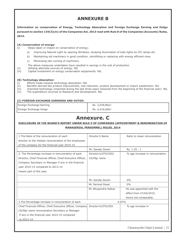# **ANNEXURE B**

**Information on conservation of Energy, Technology Absorption and Foreign Exchange Earning and Outgo pursuant to section 134(3)(m) of the Companies Act, 2013 read with Rule 8 of the Companies (Accounts) Rules, 2014.** 

#### **(A) Conservation of energy-**

- (i) Steps taken or impact on conservation of energy;
	- a) Improving Natural Light by opening Windows, studying illumination of tube lights by CFL lamps etc.
	- b) Maintaining old machinery in good condition, retrofitting or replacing with energy efficient ones.
	- c) Minimising idle running of machinery.
	- The above measures undertaken have resulted in savings in the cost of production.
- (ii) Utilising alternate sources of energy: NIL
- (iii) Capital investment on energy conservation equipments: NIL

#### **(B) Technology absorption-**

- (i) Efforts made towards technology absorption: NIL
- (ii) Benefits derived like product improvement, cost reduction, product development or import substitution: NIL
- (iii) Imported technology (imported during the last three years reckoned from the beginning of the financial year)- NIL
- (iv) The expenditure incurred on Research and Development: NIL

#### **(C) FOREIGN EXCHANGE EARNINGS AND OUTGO:**

| Foreign Exchange Earning | Rs 3,039,862/-  |
|--------------------------|-----------------|
| Foreign Exchange Outgo   | Rs. 4,419,600/- |

# **Annexure. C**

### **DISCLOSURE IN THE BOARD'S REPORT UNDER RULE 5 OF COMPANIES (APPOINTMENT & REMUNERATION OF**

#### **MANAGERIAL PERSONNEL) RULES, 2014**

| 1 The Ratio of the remuneration of each                     | Director's Name      | Ratio to mean remuneration     |
|-------------------------------------------------------------|----------------------|--------------------------------|
| director to the median remuneration of the employees        |                      |                                |
| of the company for the financial year 2014-15               |                      |                                |
|                                                             | Mr. Sandip Zaveri    | Rs. 1.25:1                     |
| 2. The Percentage increase in remuneration of each          | Director's/CFO/CEO/  | % age increase in remuneration |
| Director, Chief Financial Officer, Chief Executive Officer, | CS/Mgr name          |                                |
| Company Secretary or Manager if any in the financial        |                      |                                |
| year 2014-15 compared to 2013-14                            |                      |                                |
| means part of the year.                                     |                      |                                |
|                                                             |                      |                                |
|                                                             | Mr. Sandip Zaveri    | 0%                             |
|                                                             | Mr. Parimal Desai    | $0\%$                          |
|                                                             | Mr. Bhupendra Hatkar | He was appointed with the      |
|                                                             |                      | effect from 27/04/2015,        |
|                                                             |                      | hence not comparable.          |
| 3. The Percentage increase in remuneration of each          |                      | 6.87%                          |
| Chief Financial Officer, Chief Executive Officer, Company   | Director's/CFO/CEO   | % age increase in              |
| CS/Mgr name remuneration Secretary or Manager               |                      |                                |
| if any in the financial year 2014-15 compared               |                      |                                |
| to 2013-14                                                  |                      |                                |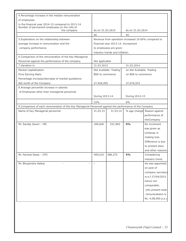| 4. Percentage increase in the median remuneration                                                         |                        |                                |                                                     |                             |
|-----------------------------------------------------------------------------------------------------------|------------------------|--------------------------------|-----------------------------------------------------|-----------------------------|
| of employees                                                                                              |                        |                                |                                                     |                             |
| in the financial year 2014-15 compared to 2013-14                                                         |                        |                                |                                                     |                             |
| Number of permanent employees on the rolls of                                                             |                        |                                |                                                     |                             |
| the company                                                                                               | As on 31.03.2015       |                                | As on 31.03.2014                                    |                             |
|                                                                                                           | 46                     |                                | 45                                                  |                             |
| 5. Explanation on the relationship between                                                                |                        |                                | Revenue from operation increased 16.60% compared to |                             |
| average increase in remuneration and the                                                                  |                        |                                | financial year 2013-14. Increament                  |                             |
| company performance                                                                                       |                        | to employees are given         |                                                     |                             |
|                                                                                                           |                        | industry trends and inflation. |                                                     |                             |
| 6. Comparison of the remuneration of the Key Managerial                                                   |                        |                                |                                                     |                             |
| Personnel against the performance of the company                                                          | Not applicable         |                                |                                                     |                             |
| 7. Variation in                                                                                           | 31.03.2015             |                                | 31.03.2014                                          |                             |
| <b>Market Capitalization</b>                                                                              |                        | Not available. Trading         | on Not Available. Trading                           |                             |
| Price Earning Ratio                                                                                       | <b>BSE</b> to commence |                                | on BSE to commence                                  |                             |
| Percentage Increase/decrease of market quotations                                                         |                        |                                |                                                     |                             |
| Net worth of the Company                                                                                  | 27,936,095             |                                | 37,676,933                                          |                             |
| 8. Average percentile increase in salaries                                                                |                        |                                |                                                     |                             |
| of Employees other than managerial personnel                                                              |                        |                                |                                                     |                             |
|                                                                                                           | During 2013-14         |                                | During 2014-15                                      |                             |
|                                                                                                           | 15%                    |                                | 6%                                                  |                             |
| 9. Comparison of each remuneration of the Key Managerial Personnel against the performance of the Company |                        |                                |                                                     |                             |
| Name of Key Managerial personnel                                                                          | 31.03.15               | 31.03.14                       |                                                     | % age change Reason against |
|                                                                                                           |                        |                                |                                                     | performance of              |
|                                                                                                           |                        |                                |                                                     | theCompany                  |
| Mr. Sandip Zaveri - MD                                                                                    | 189,600                | 191,960                        | $0\%$                                               | No increment                |
|                                                                                                           |                        |                                |                                                     | was given as                |
|                                                                                                           |                        |                                |                                                     | compnay is                  |
|                                                                                                           |                        |                                |                                                     | making loss.                |
|                                                                                                           |                        |                                |                                                     | Difference is due           |
|                                                                                                           |                        |                                |                                                     | to present days             |
|                                                                                                           |                        |                                |                                                     | and other reasons.          |
| Mr. Parimal Desai - CFO                                                                                   | 409,010                | 388,375                        | <b>5%</b>                                           | Consedering                 |
|                                                                                                           |                        |                                |                                                     |                             |
|                                                                                                           | Ĺ,                     |                                |                                                     | industry trend.             |
| Mr. Bhupendra Hatkar                                                                                      |                        |                                |                                                     | He was appointed            |
|                                                                                                           |                        |                                |                                                     | on post of                  |
|                                                                                                           |                        |                                |                                                     | company secretary           |
|                                                                                                           |                        |                                |                                                     | w.e.f 27/04/2015            |
|                                                                                                           |                        |                                |                                                     | hence not                   |
|                                                                                                           |                        |                                |                                                     | comparable.                 |
|                                                                                                           |                        |                                |                                                     | (His present total          |
|                                                                                                           |                        |                                |                                                     | remunerataion is            |
|                                                                                                           |                        |                                |                                                     | Rs. 4,08,000 p.a.)          |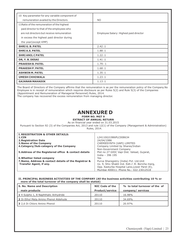| 10 Key parameter for any variable component of |                                        |
|------------------------------------------------|----------------------------------------|
| remuneration availed by the Directors          | NO.                                    |
| 11 Ratio of the remuneration of the highest    |                                        |
| paid director to that of the employees who     |                                        |
| are not directors but receive remuneration     | Employee Salary: Highest paid director |
| in excess the highest paid director during     |                                        |
| the year (except KMP)                          |                                        |
| <b>SHRIG. B. PATEL</b>                         | 2.42:1                                 |
| <b>SHRI A.S. PATEL</b>                         | 1.88:1                                 |
| <b>SHRI ANIL C PATEL</b>                       | 1.22:1                                 |
| DR, Y. B. DESAI                                | 1.41:1                                 |
| <b>PRAKESH B. PATEL</b>                        | 1.79:1                                 |
| <b>PRAKESH P. PATEL</b>                        | 1.68:1                                 |
| <b>ASHWIN M. PATEL</b>                         | 1.35:1                                 |
| <b>UMESH CHHOWALA</b>                          | 1.23:1                                 |
| <b>GAJANAN MAHADIK</b>                         | 1.13:1                                 |

The Board of Directors of the Company affirms that the remuneration is as per the remuneration policy of the Company.No Employee is in receipt of remuneration which requires disclosure as per Rules 5(2) and Rule 5(3) of the Companies (Appointment and Remuneration of Managerial Personnel) Rules, 2014.

The company has recovered the excess remuneration from managing director.

# **ANNEXURE D FORM NO. MGT 9**

**EXTRACT OF ANNUAL RETURN**

As on financial year ended on 31.03.2015

Pursuant to Section 92 (3) of the Companies Act, 2013 and rule 12(1) of the Company (Management & Administration) Rules, 2014.

| <b>I. REGISTRATION &amp; OTHER DETAILS:</b>           |                                                  |
|-------------------------------------------------------|--------------------------------------------------|
| 1.CIN                                                 | L24110GJ1986PLC008634                            |
| <b>2. Registration Date</b>                           | 24/04/1986                                       |
| <b>3. Name of the Company</b>                         | CHEMIESYNTH (VAPI) LIMITED                       |
| 4. Category/Sub-category of the Company               | Company Limited by Shares/Indian                 |
|                                                       | Non-Government Company                           |
| 5. Address of the Registered office & contact details | Plot no 27 GIDC Vapi Dist. Valsad, Gujarat,      |
|                                                       | India - 396 195                                  |
| 6. Whether listed company                             | Yes                                              |
| 7. Name, Address & contact details of the Registrar & | Purva Sharegistry (India) Pvt. Ltd. Unit         |
| Transfer Agent, if any.                               | no. 9, Shiv Shakti Ind. Estt.J .R. Boricha marg, |
|                                                       | Opp. Kasturba Hospital Lane, Lower Parel (E),    |
|                                                       | Mumbai 400011, Phone No.: 022 23012518           |

#### **II. PRINCIPAL BUSINESS ACTIVITIES OF THE COMPANY (All the business activities contributing 10 % or more of the total turnover of the company shall be stated)**

| <b>S. No. Name and Description</b>    | <b>NIC Code of the</b> | % to total turnover of the of |  |  |
|---------------------------------------|------------------------|-------------------------------|--|--|
| main products                         | <b>Product/service</b> | company/services              |  |  |
| 1 4 Sulpho 1, 8 Naphthalic Anhydride  | 20110                  | 16.98%                        |  |  |
| 2 Di Ethyl Meta Amino Phenol Aldehyde | 20110                  | 34.69%                        |  |  |
| 3 2,6 Di Chloro Amino Phenol          | 20110                  | 20.97%                        |  |  |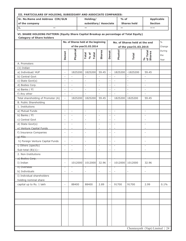| III. PARTICULARS OF HOLDING, SUBSIDIARY AND ASSOCIATE COMPANIES: |                                                                                        |                                     |                          |                              |                          |                          |                               |                                                  |                   |
|------------------------------------------------------------------|----------------------------------------------------------------------------------------|-------------------------------------|--------------------------|------------------------------|--------------------------|--------------------------|-------------------------------|--------------------------------------------------|-------------------|
| Sr. No. Name and Address CIN/GLN                                 |                                                                                        |                                     | Holding/                 |                              |                          | $%$ of                   |                               |                                                  | <b>Applicable</b> |
| of the company                                                   |                                                                                        |                                     | subsidiary/ Associate    |                              |                          |                          | <b>Shares held</b>            | <b>Section</b>                                   |                   |
| $\mathbf{1}$ .                                                   |                                                                                        |                                     | $\overline{\phantom{0}}$ |                              |                          | —                        |                               | ——                                               |                   |
| <b>Category of Share holders</b>                                 | VI. SHARE HOLDING PATTERN (Equity Share Capital Breakup as percentage of Total Equity) |                                     |                          |                              |                          |                          |                               |                                                  |                   |
|                                                                  |                                                                                        | No. of Shares held at the beginning |                          |                              |                          |                          | No. of Shares held at the end |                                                  | $\frac{0}{0}$     |
|                                                                  |                                                                                        |                                     | of the year31.03.2014    |                              |                          |                          | of the year31.03.2015         |                                                  | Change            |
|                                                                  |                                                                                        |                                     |                          |                              |                          |                          |                               |                                                  | During            |
|                                                                  | Demat                                                                                  | Physica                             | Total<br>% of<br>Total   | Shares                       | Demat                    | Physical                 | <b>Total</b>                  | of Total<br>Shares<br>$\mathcal{S}_{\mathbf{0}}$ | the<br>Year       |
| A. Promoters                                                     |                                                                                        |                                     |                          |                              |                          |                          |                               |                                                  |                   |
| $(1)$ Indian                                                     |                                                                                        |                                     |                          |                              |                          |                          |                               |                                                  |                   |
| a) Individual/ HUF                                               | $\overline{\phantom{a}}$                                                               | 1825200                             | 1825200                  | 59.45                        | $\overline{\phantom{a}}$ | 1825200                  | $-1825200$                    | 59.45                                            |                   |
| b) Central Govt                                                  | $\overline{\phantom{a}}$                                                               | $\overline{\phantom{a}}$            | $\overline{\phantom{a}}$ | $\overline{\phantom{a}}$     |                          | $\overline{\phantom{a}}$ | $\overline{\phantom{a}}$      | $\overline{\phantom{a}}$                         |                   |
| c) State Govt(s)                                                 | $\overline{a}$                                                                         |                                     |                          | L,                           |                          |                          | $\frac{1}{2}$                 |                                                  |                   |
| d) Bodies Corp.                                                  | $\overline{\phantom{a}}$                                                               | $\overline{\phantom{a}}$            | $\overline{\phantom{a}}$ | $\frac{1}{2}$                |                          | $\overline{\phantom{a}}$ | $\frac{1}{2}$                 | $\overline{\phantom{a}}$                         |                   |
| e) Banks / FI                                                    | $\overline{\phantom{a}}$                                                               | $\Box$                              | $\Box$                   | $\overline{\phantom{a}}$     | $\overline{\phantom{a}}$ | $\bar{\phantom{a}}$      | $\frac{1}{2}$                 | $\qquad \qquad \blacksquare$                     |                   |
| f) Any other                                                     | $\overline{\phantom{a}}$                                                               |                                     |                          | $\bar{a}$                    |                          |                          | $\overline{a}$                | $\overline{a}$                                   |                   |
| Total shareholding of Promoter (A)                               | $\overline{\phantom{a}}$                                                               | 1825200                             | 1825200                  | 59.45                        |                          | 1825200                  | 1825200                       | 59.45                                            |                   |
| B. Public Shareholding                                           |                                                                                        |                                     |                          |                              |                          |                          |                               |                                                  |                   |
| 1. Institutions                                                  |                                                                                        |                                     |                          |                              |                          |                          |                               |                                                  |                   |
| a) Mutual Funds                                                  | $\overline{a}$                                                                         | $\overline{\phantom{a}}$            | $\mathcal{L}$            | $\sim$                       | $\overline{\phantom{a}}$ | $\mathcal{L}$            |                               | $\equiv$                                         |                   |
| b) Banks / FI                                                    | $\overline{\phantom{a}}$                                                               | $\blacksquare$                      | $\overline{\phantom{a}}$ | $\overline{\phantom{a}}$     | $\overline{\phantom{a}}$ | $\overline{\phantom{a}}$ |                               | $\overline{\phantom{a}}$                         |                   |
| c) Central Govt                                                  | L.                                                                                     | $\overline{a}$                      | $\overline{\phantom{a}}$ | $\overline{\phantom{a}}$     | $\overline{\phantom{a}}$ | $\overline{\phantom{0}}$ |                               | $\overline{\phantom{0}}$                         |                   |
| d) State Govt(s)                                                 | $\overline{\phantom{a}}$                                                               | $\overline{a}$                      | $\bar{a}$                | $\overline{\phantom{a}}$     | $\overline{\phantom{a}}$ | $\overline{\phantom{a}}$ |                               |                                                  |                   |
| e) Venture Capital Funds                                         | $\overline{\phantom{0}}$                                                               |                                     | $\overline{\phantom{a}}$ | $\overline{a}$               |                          |                          |                               |                                                  |                   |
| f) Insurance Companies<br>$g$ ) FHs                              | $\overline{\phantom{a}}$                                                               | $\overline{\phantom{a}}$            | $\bar{a}$                | $\overline{a}$               |                          | $\overline{\phantom{a}}$ |                               | $\overline{\phantom{m}}$                         |                   |
| h) Foreign Venture Capital Funds                                 | $\overline{\phantom{a}}$                                                               | $\overline{a}$                      | $\overline{\phantom{a}}$ | $\overline{\phantom{m}}$     |                          |                          |                               | $\sim$                                           |                   |
| i) Others (specify)                                              | $\overline{\phantom{a}}$                                                               | $\overline{\phantom{a}}$            | $\overline{\phantom{a}}$ | $\overline{\phantom{a}}$     |                          | $\overline{\phantom{a}}$ |                               | $\overline{\phantom{a}}$                         |                   |
| Sub-total $(B)(1)$ :-                                            | $\overline{\phantom{a}}$                                                               |                                     | $\overline{\phantom{a}}$ | $\qquad \qquad \blacksquare$ |                          |                          |                               | $\overline{\phantom{m}}$                         |                   |
| 2. Non-Institutions                                              |                                                                                        |                                     |                          |                              |                          |                          |                               |                                                  |                   |
| a) Bodies Corp.                                                  |                                                                                        |                                     |                          |                              |                          |                          |                               |                                                  |                   |
| I) Indian                                                        | $\overline{\phantom{a}}$                                                               | 1012000                             | 1012000                  | 32.96                        |                          | 1012000                  | 1012000                       | 32.96                                            |                   |
| ii) Overseas                                                     |                                                                                        |                                     |                          |                              |                          |                          |                               |                                                  |                   |
| b) Individuals                                                   | L,                                                                                     | $\overline{\phantom{0}}$            |                          | $\frac{1}{2}$                |                          |                          | $\blacksquare$                | $\overline{\phantom{0}}$                         |                   |
| I) Individual shareholders                                       |                                                                                        |                                     |                          |                              |                          |                          |                               |                                                  |                   |
| holding nominal share                                            |                                                                                        |                                     |                          |                              |                          |                          |                               |                                                  |                   |
| capital up to Rs. 1 lakh                                         | $\overline{\phantom{a}}$                                                               | 88400                               | 88400                    | 2.89                         |                          | 91700                    | 91700                         | 2.99                                             | 0.1%              |
|                                                                  |                                                                                        |                                     |                          |                              |                          |                          |                               |                                                  |                   |
|                                                                  |                                                                                        |                                     |                          |                              |                          |                          |                               |                                                  |                   |
|                                                                  |                                                                                        |                                     |                          |                              |                          |                          |                               |                                                  |                   |
|                                                                  |                                                                                        |                                     |                          |                              |                          |                          |                               |                                                  |                   |
|                                                                  |                                                                                        |                                     |                          |                              |                          |                          |                               |                                                  |                   |
|                                                                  |                                                                                        |                                     |                          |                              |                          |                          |                               |                                                  |                   |
|                                                                  |                                                                                        |                                     |                          |                              |                          |                          |                               | Chemiesynth (Vapi) Limited   24                  |                   |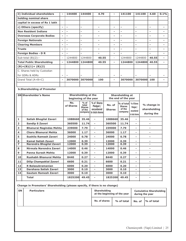| ii) Individual shareholders      | $\overline{\phantom{a}}$ | 144400                   | 144400                   | 4.70                     | -                        | 141100  | 141100                   | 4.60                     | 0.1%                     |
|----------------------------------|--------------------------|--------------------------|--------------------------|--------------------------|--------------------------|---------|--------------------------|--------------------------|--------------------------|
| holding nominal share            |                          |                          |                          |                          |                          |         |                          |                          |                          |
| capital in excess of Rs 1 lakh   |                          |                          |                          |                          |                          |         |                          |                          |                          |
| c) Others (specify)              | $\overline{\phantom{a}}$ | -                        | -                        | $\overline{\phantom{a}}$ | -                        | ۰       | $\overline{\phantom{a}}$ | $\overline{\phantom{a}}$ | ۰                        |
| <b>Non Resident Indians</b>      | $\overline{\phantom{a}}$ | $\overline{\phantom{a}}$ | ۰                        | $\overline{\phantom{a}}$ | ۰                        | ۰       | $\overline{\phantom{a}}$ | $\overline{\phantom{a}}$ | -                        |
| <b>Overseas Corporate Bodies</b> | $\overline{\phantom{a}}$ | $\overline{\phantom{a}}$ | $\overline{\phantom{0}}$ | $\overline{\phantom{a}}$ | -                        | ۰       | $\overline{\phantom{a}}$ | $\overline{\phantom{a}}$ | $\overline{\phantom{0}}$ |
| <b>Foreign Nationals</b>         | $\overline{\phantom{0}}$ | $\overline{\phantom{0}}$ | ۰                        | -                        | -                        | ۰       | $\overline{\phantom{a}}$ | $\overline{\phantom{a}}$ |                          |
| <b>Clearing Members</b>          | ٠                        | ۰                        | ۰                        | ۰                        | -                        | ۰       | $\overline{\phantom{a}}$ | $\overline{\phantom{a}}$ | -                        |
| <b>Trusts</b>                    | $\overline{\phantom{a}}$ | $\overline{\phantom{a}}$ | ۰                        | $\overline{\phantom{a}}$ | -                        | ۰       | $\overline{\phantom{a}}$ | $\overline{\phantom{a}}$ | -                        |
| <b>Foreign Bodies - D R</b>      | $\overline{\phantom{a}}$ | $\overline{\phantom{0}}$ | ۰                        | $\overline{\phantom{a}}$ | -                        | ۰       | $\overline{\phantom{a}}$ | $\overline{\phantom{a}}$ | $\blacksquare$           |
| Sub-total $(B)(2)$ :-            | $\overline{\phantom{a}}$ | 1244800                  | 1244800                  | 40.55                    | $\overline{\phantom{0}}$ | 1244800 | 1244800                  | 40.55                    | $\overline{\phantom{0}}$ |
| <b>Total Public Shareholding</b> | $\overline{\phantom{a}}$ | 1244800                  | 1244800                  | 40.55                    | -                        | 1244800 | 1244800                  | 40.55                    | $\overline{\phantom{a}}$ |
| $(B)=(B)(1)+(B)(2)$              |                          |                          |                          |                          |                          |         |                          |                          |                          |
| C. Shares held by Custodian      |                          |                          |                          |                          |                          |         |                          |                          |                          |
| for GDRs & ADRs                  | $\overline{\phantom{a}}$ | $\overline{\phantom{a}}$ |                          | $\overline{\phantom{a}}$ | ۰                        |         | $\overline{\phantom{a}}$ | $\overline{\phantom{a}}$ | ۰                        |
| Grand Total $(A+B+C)$            | $\overline{\phantom{a}}$ | 3070000                  | 3070000                  | 100                      | -                        | 3070000 | 3070000                  | 100                      | -                        |
|                                  |                          |                          |                          |                          |                          |         |                          |                          |                          |

#### **b.Shareholding of Promoter**

|                         | <b>SN</b> Shareholder's Name   | <b>Shareholding at the</b><br>beginning of the year |                                                       |                                                           | <b>Shareholding at</b><br>the end of the year |                                                  |                                                           |                                           |
|-------------------------|--------------------------------|-----------------------------------------------------|-------------------------------------------------------|-----------------------------------------------------------|-----------------------------------------------|--------------------------------------------------|-----------------------------------------------------------|-------------------------------------------|
|                         |                                | No.<br>of Shares                                    | $%$ of<br>total<br><b>Shares</b><br>of the<br>company | % of Shares<br>Pledged /<br>encumbered<br>to total shares | No. of<br><b>Shares</b>                       | % of total<br><b>Shares</b><br>of the<br>company | % of Shares<br>Pledged /<br>encumbered<br>to total shares | % change in<br>shareholding<br>during the |
| $\mathbf 1$             | Satish Bhogilal Zaveri         | 1088660                                             | 35.46                                                 |                                                           | 1088660                                       | 35.46                                            |                                                           |                                           |
| $\overline{\mathbf{2}}$ | <b>Sandip S Zaveri</b>         | 360500                                              | 11.74                                                 | ۰                                                         | 360500                                        | 11.74                                            | $\overline{\phantom{a}}$                                  |                                           |
| 3                       | <b>Bhanurai Nagindas Mehta</b> | 239000                                              | 7.79                                                  |                                                           | 239000                                        | 7.79                                             |                                                           |                                           |
| $\overline{\mathbf{4}}$ | <b>Charu Bhanurai Mehta</b>    | 36000                                               | 1.17                                                  | ۰                                                         | 36000                                         | 1.17                                             | -                                                         | ۰                                         |
| 5                       | Sushila Ramesh Zaveri          | 24000                                               | 0.78                                                  |                                                           | 24000                                         | 0.78                                             |                                                           | ۰                                         |
| $6\phantom{1}$          | <b>Kamal Satish Zaveri</b>     | 12000                                               | 0.39                                                  |                                                           | 12000                                         | 0.39                                             |                                                           | $\overline{\phantom{a}}$                  |
| $\overline{ }$          | Narendra Bhogilal Zaveri       | 12000                                               | 0.39                                                  | Ξ.                                                        | 12000                                         | 0.39                                             | ٠.                                                        | ۰                                         |
| 8                       | Nirmala Narendra Zaveri        | 14000                                               | 0.46                                                  |                                                           | 14000                                         | 0.46                                             | -                                                         | $\overline{\phantom{a}}$                  |
| 9                       | <b>Panna Suresh Mehta</b>      | 12000                                               | 0.39                                                  | Ξ.                                                        | 12000                                         | 0.39                                             |                                                           |                                           |
| 10                      | Rushabh Bhanurai Mehta         | 8440                                                | 0.27                                                  | ۰                                                         | 8440                                          | 0.27                                             | -                                                         | ٠                                         |
| 11                      | Dilip Champaklal Zaveri        | 6600                                                | 0.21                                                  |                                                           | 6600                                          | 0.21                                             |                                                           |                                           |
| 12                      | <b>R</b> Balasubramanian       | 6000                                                | 0.20                                                  |                                                           | 6000                                          | 0.20                                             |                                                           |                                           |
| 13                      | Darshana Satish Zaveri         | 3000                                                | 0.10                                                  | ۰                                                         | 3000                                          | 0.10                                             | $\overline{\phantom{a}}$                                  | ٠                                         |
| 14                      | <b>Gautam Ramesh Zaveri</b>    | 3000                                                | 0.10                                                  | ۰                                                         | 3000                                          | 0.10                                             | Ξ.                                                        | ۰                                         |
|                         | <b>Total</b>                   | 1825200                                             | 49.45                                                 |                                                           | 1825200                                       | 49.45                                            | -                                                         |                                           |

## **Change in Promoters' Shareholding (please specify, if there is no change)**

| <b>SN</b> | <b>Particulars</b> | <b>Shareholding</b><br>at the beginning of the year |            | <b>Cumulative Shareholding</b><br>during the year |                         |  |
|-----------|--------------------|-----------------------------------------------------|------------|---------------------------------------------------|-------------------------|--|
|           |                    | No. of shares                                       | % of total |                                                   | No. of $\,$  % of total |  |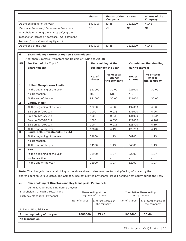|                         |                                                                 | <b>shares</b>            | <b>Shares of thel</b><br>Company    | <b>shares</b>            | <b>Shares of the</b><br>Company     |
|-------------------------|-----------------------------------------------------------------|--------------------------|-------------------------------------|--------------------------|-------------------------------------|
|                         | At the beginning of the year                                    | 1825200                  | 49.45                               | 1825200                  | 49.45                               |
|                         | Date wise Increase / Decrease in Promoters                      | <b>NIL</b>               | <b>NIL</b>                          | <b>NIL</b>               | <b>NIL</b>                          |
|                         | Shareholding during the year specifying the                     |                          |                                     |                          |                                     |
|                         | reasons for increase / decrease (e.g. allotment /               |                          |                                     |                          |                                     |
|                         | transfer / bonus/ sweat equity etc.):                           |                          |                                     |                          |                                     |
|                         | At the end of the year                                          | 1825200                  | 49.45                               | 1825200                  | 49.45                               |
| d.                      | <b>Shareholding Pattern of top ten Shareholders:</b>            |                          |                                     |                          |                                     |
|                         | (Other than Directors, Promoters and Holders of GDRs and ADRs): |                          |                                     |                          |                                     |
| <b>SN</b>               | For Each of the Top 10                                          |                          | <b>Shareholding at the</b>          |                          | <b>Cumulative Shareholding</b>      |
|                         | <b>Shareholders</b>                                             |                          | beginningof the year                | during theyear           |                                     |
|                         |                                                                 | No. of<br>shares         | % of total<br>shares<br>the company | No. of<br>shares         | % of total<br>shares<br>the company |
| $\mathbf{1}$            | <b>United Phosphorous Limited</b>                               |                          |                                     |                          |                                     |
|                         | At the beginning of the year                                    | 921000                   | 30.00                               | 921000                   | 30.00                               |
|                         | No Transaction                                                  | <b>NIL</b>               | <b>NIL</b>                          | <b>NIL</b>               |                                     |
|                         | At the end of the year                                          | 921000                   | 30.00                               | 921000                   | 30.00                               |
| $\overline{2}$          | <b>Gaurav Mallik</b>                                            |                          |                                     |                          |                                     |
|                         | At the beginning of the year                                    | 132000                   | 4.30                                | 132000                   | 4.30                                |
|                         | Sale on 14/04/2014                                              | 1000                     | 0.033                               | 131000                   | 4.267                               |
|                         | Sale on 12/05/2014                                              | 1000                     | 0.033                               | 131000                   | 4.234                               |
|                         | Sale on 09/06/2014                                              | 1000                     | 0.033                               | 129000                   | 4.201                               |
|                         | Sale on 23/06/2014                                              | 300                      | 0.011                               | 128700                   | 4.19                                |
|                         | At the end of the year                                          | 128700                   | 4.19                                | 128700                   | 4.19                                |
| $\overline{\mathbf{3}}$ | South Delhi Investments (P) Ltd                                 |                          |                                     |                          |                                     |
|                         | At the beginning of the year                                    | 34900                    | 1.13                                | 34900                    | 1.13                                |
|                         | No Transaction                                                  | $\overline{\phantom{a}}$ | $\equiv$                            | $\overline{\phantom{a}}$ | $\overline{\phantom{a}}$            |
|                         | At the end of the year                                          | 34900                    | 1.13                                | 34900                    | 1.13                                |
| 4                       | <b>SRF</b>                                                      |                          |                                     |                          |                                     |
|                         | At the beginning of the year                                    | 32900                    | 1.07                                | 32900                    | 1.07                                |
|                         | No Transaction                                                  |                          |                                     |                          |                                     |
|                         | At the end of the year                                          | 32900                    | 1.07                                | 32900                    | 1.07                                |

**Note:** The change in the shareholding in the above shareholders was due to buying/selling of shares by the shareholders on various dates. The Company has not allotted any shares, issued bonus/sweat equity during the year.

#### **e. Shareholding of Directors and Key Managerial Personnel:**

Cumulative Shareholding during theyear

| Shareholding of each Directors and<br>each Key Managerial Personnel |               | Shareholding at the<br>beginning of the year | Cumulative Shareholding<br>during theyear |                                     |  |
|---------------------------------------------------------------------|---------------|----------------------------------------------|-------------------------------------------|-------------------------------------|--|
|                                                                     | No. of shares | % of total shares of<br>the company          | No. of shares                             | % of total shares of<br>the company |  |
| 1. Satish Bhogilal Zaveri                                           |               |                                              |                                           |                                     |  |
| At the beginning of the year                                        | 1088660       | 35.46                                        | 1088660                                   | 35.46                               |  |
| No transaction ----                                                 |               |                                              |                                           |                                     |  |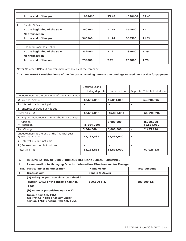|                         | At the end of the year       | 1088660 | 35.46 | 1088660 | 35.46 |
|-------------------------|------------------------------|---------|-------|---------|-------|
|                         |                              |         |       |         |       |
| $\overline{\mathbf{2}}$ | Sandip S Zaveri              |         |       |         |       |
|                         | At the beginning of the year | 360500  | 11.74 | 360500  | 11.74 |
|                         | <b>No transaction</b>        |         |       | -       | -     |
|                         | At the end of the year       | 360500  | 11.74 | 360500  | 11.74 |
|                         |                              |         |       |         |       |
| 3                       | Bhanurai Nagindas Mehta      |         |       |         |       |
|                         | At the beginning of the year | 239000  | 7.79  | 239000  | 7.79  |
|                         | <b>No transaction</b>        | -       |       |         | -     |
|                         | At the end of the year       | 239000  | 7.79  | 239000  | 7.79  |

**Note:** No other KMP and directors hold any shares of the company

**f. INDEBTEDNESS -Indebtedness of the Company including interest outstanding/accrued but not due for payment.**

|                                                     | Secured Loans      |                 |                          |                    |
|-----------------------------------------------------|--------------------|-----------------|--------------------------|--------------------|
|                                                     | excluding deposits | Unsecured Loans | Deposits                 | Total Indebtedness |
| Indebtedness at the beginning of the financial year |                    |                 |                          |                    |
| i) Principal Amount                                 | 18,699,896         | 45,891,000      | $\blacksquare$           | 64,590,896         |
| ii) Interest due but not paid                       |                    |                 | ۰                        |                    |
| iii) Interest accrued but not due                   |                    |                 | -                        |                    |
| Total (i+ii+iii)                                    | 18,699,896         | 45,891,000      |                          | 64,590,896         |
| Change in Indebtedness during the financial year    |                    |                 |                          |                    |
| * Addition                                          |                    | 8,000,000       |                          | 8,000,000          |
| * Reduction                                         | (5,564,060)        |                 | -                        | (5,564,060)        |
| Net Change                                          | 5,564,060          | 8,000,000       | $\overline{\phantom{0}}$ | 2,435,940          |
| Indebtedness at the end of the financial year       |                    |                 |                          |                    |
| i) Principal Amount                                 | 13,135,836         | 53,891,000      | $\blacksquare$           |                    |
| ii) Interest due but not paid                       |                    |                 | -                        |                    |
| iii) Interest accrued but not due                   | ۰                  |                 | $\overline{\phantom{0}}$ |                    |
| Total (i+ii+iii)                                    | 13,135,836         | 53,891,000      | $\overline{\phantom{0}}$ | 67,026,836         |

#### **g. REMUNERATION OF DIRECTORS AND KEY MANAGERIAL PERSONNEL-**

#### A. **Remuneration to Managing Director, Whole-time Directors and/or Manager:**

| <b>SN. Particulars of Remuneration</b>                      | Name of MD       | <b>Total Amount</b> |
|-------------------------------------------------------------|------------------|---------------------|
| <b>Gross salary</b>                                         | Sandip S. Zaveri |                     |
| (a) Salary as per provisions contained in                   |                  |                     |
| section 17(1) of the Income-tax Act,                        | 189,600 p.a.     | 189,600 p.a.        |
| 1961                                                        |                  |                     |
| (b) Value of perquisites $u/s$ 17(2)                        |                  |                     |
| Income-tax Act, 1961<br>(c) Profits in lieu of salary under |                  |                     |
| section 17(3) Income- tax Act, 1961                         |                  |                     |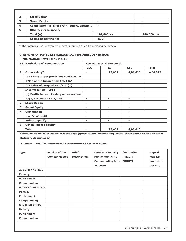| $\overline{2}$ | <b>Stock Option</b>                         |              | $\overline{\phantom{0}}$ |
|----------------|---------------------------------------------|--------------|--------------------------|
| 3              | <b>Sweat Equity</b>                         |              | -                        |
| 4              | Commission- as % of profit- others, specify |              |                          |
| 5              | Others, please specify                      |              | $\overline{\phantom{0}}$ |
|                | Total (A)                                   | 189,600 p.a. | 189,600 p.a.             |
|                | Ceiling as per the Act                      | $NIL*$       |                          |

**\*** The company has recovered the excess remuneration from managing director.

#### **C. REMUNERATION TO KEY MANAGERIAL PERSONNEL OTHER THAN**

#### **MD/MANAGER/WTD (FY2014-15)**

|                | <b>SN</b> Particulars of Remuneration       | <b>Key Managerial Personnel</b> |                          |            |              |
|----------------|---------------------------------------------|---------------------------------|--------------------------|------------|--------------|
|                |                                             | <b>CEO</b>                      | $\mathsf{CS}\phantom{0}$ | <b>CFO</b> | <b>Total</b> |
| 1              | Gross salary*                               | ۰                               | 77,667                   | 4,09,010   | 4,86,677     |
|                | (a) Salary as per provisions contained in   |                                 |                          |            |              |
|                | 17(1) of the Income-tax Act, 1961           | $\overline{\phantom{a}}$        | -                        |            |              |
|                | (b) Value of perquisites $u/s$ 17(2)        |                                 |                          |            |              |
|                | Income-tax Act, 1961                        | ٠                               | -                        | ۰          |              |
|                | (c) Profits in lieu of salary under section |                                 |                          |            |              |
|                | 17(3) Income-tax Act, 1961                  | ٠                               | ۰                        | ۰          |              |
| $\overline{2}$ | <b>Stock Option</b>                         | ٠                               | ۰                        | -          |              |
| 3              | <b>Sweat Equity</b>                         | $\overline{\phantom{a}}$        | -                        | -          |              |
| 4              | <b>Commission</b>                           |                                 |                          |            |              |
|                | - as % of profit                            | ٠                               | $\overline{\phantom{a}}$ | -          |              |
|                | others, specify                             | ۰                               | ۰                        | -          |              |
| 5              | <b>Others, please specify</b>               | -                               |                          |            |              |
|                | <b>Total</b>                                | ۰                               | 77,667                   | 4,09,010   |              |

**\* Remuneration is for actual present days (gross salary includes employers' contribution to PF and other statutory deductions.)**

**XII. PENALTIES / PUNISHMENT/ COMPOUNDING OF OFFENCES:**

| <b>Type</b>              | <b>Section of the</b><br><b>Companies Act</b> | <b>Brief</b><br><b>Description</b> | <b>Details of Penalty</b><br>Punishment/[RD<br><b>Compounding fees</b><br>imposed | /Authority<br>/ NCLT/<br><b>COURT]</b> | <b>Appeal</b><br>made, if<br>any (give<br>Details) |
|--------------------------|-----------------------------------------------|------------------------------------|-----------------------------------------------------------------------------------|----------------------------------------|----------------------------------------------------|
| <b>A. COMPANY: NIL</b>   |                                               |                                    |                                                                                   |                                        |                                                    |
| <b>Penalty</b>           |                                               |                                    |                                                                                   |                                        |                                                    |
| <b>Punishment</b>        |                                               |                                    |                                                                                   |                                        |                                                    |
| Compounding              |                                               |                                    |                                                                                   |                                        |                                                    |
| <b>B. DIRECTORS: NIL</b> |                                               |                                    |                                                                                   |                                        |                                                    |
| <b>Penalty</b>           |                                               |                                    |                                                                                   |                                        |                                                    |
| <b>Punishment</b>        |                                               |                                    |                                                                                   |                                        |                                                    |
| Compounding              |                                               |                                    |                                                                                   |                                        |                                                    |
| <b>C. OTHER OFFICI</b>   |                                               |                                    |                                                                                   |                                        |                                                    |
| <b>Penalty</b>           |                                               |                                    |                                                                                   |                                        |                                                    |
| <b>Punishment</b>        |                                               |                                    |                                                                                   |                                        |                                                    |
| Compounding              |                                               |                                    |                                                                                   |                                        |                                                    |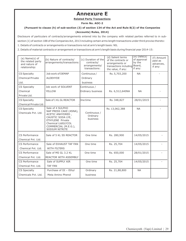# **Annexure E**

### **Related Party Transactions**

**Form No. AOC-2**

#### **(Pursuant to clause (h) of sub-section (3) of section 134 of the Act and Rule 8(2) of the Companies**

#### **(Accounts) Rules, 2014)**

Disclosure of particulars of contracts/arrangements entered into by the company with related parties referred to in subsection (1) of section 188 of the Companies Act, 2013 including certain arms length transactions under third proviso thereto: 1. Details of contracts or arrangements or transactions not at arm's length basis: NIL

2. Details of material contracts or arrangement or transactions at arm's length basis during financial year 2014-15:

| (a) Name(s) of<br>the related party<br>and nature of<br>relationship:<br><b>CS Specialty</b><br><b>Chemical Private</b> | (b) Nature of contracts/<br>arrangements/transactions:<br>Job work of DEMAP<br><b>ALDEHYDE</b>                                                                                 | (c) Duration of the<br>contracts/<br>arrangements/<br>transactions:<br>Continuous /<br>Ordinary | (d) Salient terms<br>of the contracts or<br>arrangements or<br>transactions including<br>the value, if any:<br>Rs. 5,703,200 | $(e)$ Date $(s)$<br>of approval<br>by the<br>Board,<br>if any:<br><b>NA</b> | (f) Amount<br>paid as<br>advances,<br>if any: |
|-------------------------------------------------------------------------------------------------------------------------|--------------------------------------------------------------------------------------------------------------------------------------------------------------------------------|-------------------------------------------------------------------------------------------------|------------------------------------------------------------------------------------------------------------------------------|-----------------------------------------------------------------------------|-----------------------------------------------|
| Ltd.                                                                                                                    |                                                                                                                                                                                | business                                                                                        |                                                                                                                              |                                                                             |                                               |
| <b>CS Specialty</b>                                                                                                     | Job work of SOLVENT                                                                                                                                                            | Continuous /                                                                                    |                                                                                                                              |                                                                             |                                               |
| Chemical                                                                                                                | <b>YELLOW</b>                                                                                                                                                                  | Ordinary business                                                                               | Rs. 6,512,640NA                                                                                                              | <b>NA</b>                                                                   |                                               |
| Private Ltd.                                                                                                            |                                                                                                                                                                                |                                                                                                 |                                                                                                                              |                                                                             |                                               |
| <b>CS Specialty</b>                                                                                                     | Sale of 1 KL GL REACTOR                                                                                                                                                        | <b>O</b> ne time                                                                                | Rs. 348,827                                                                                                                  | 28/01/2015                                                                  |                                               |
| Chemical Private Ltd.                                                                                                   |                                                                                                                                                                                |                                                                                                 |                                                                                                                              |                                                                             |                                               |
| <b>CS Specialty</b><br>Chemicals Pvt. Ltd.                                                                              | Sale of 4 SULPHO<br>NAP PRESS CAKE (4SNA),<br>ACETIC ANHYDRED,<br>CAUSTIC SODA LYE,<br><b>ETHYLENE Private</b><br>Chemical LtdGLYCOL<br>COMMERCIAL (M.E.G.),<br>SODIUM NITRITE | Continuous /<br>Ordinary<br>business                                                            | Rs. 13,062,388                                                                                                               | <b>NA</b>                                                                   |                                               |
| CS Performance                                                                                                          | Sale of 5 KL SS REACTOR                                                                                                                                                        | One time                                                                                        | Rs. 280,900                                                                                                                  | 14/05/2015                                                                  |                                               |
| Chemical Pvt. Ltd.                                                                                                      |                                                                                                                                                                                |                                                                                                 |                                                                                                                              |                                                                             |                                               |
| CS Performance                                                                                                          | Sale of EXHAUST TAF FAN                                                                                                                                                        | One time                                                                                        | Rs. 25,704                                                                                                                   | 14/05/2015                                                                  |                                               |
| Chemical Pvt. Ltd.                                                                                                      | <b>WITH FILTERS</b>                                                                                                                                                            |                                                                                                 |                                                                                                                              |                                                                             |                                               |
| CS Performance                                                                                                          | Sale of MS GL 3.2 KL                                                                                                                                                           | One time                                                                                        | Rs. 650,000                                                                                                                  | 28/01/2015                                                                  |                                               |
| Chemical Pvt. Ltd.                                                                                                      | <b>REACTOR WITH ASSEMBLY</b>                                                                                                                                                   |                                                                                                 |                                                                                                                              |                                                                             |                                               |
| CS Performance                                                                                                          | Sale of SUPPLY AIR                                                                                                                                                             | One time                                                                                        | Rs. 25,704                                                                                                                   | 14/05/2015                                                                  |                                               |
| Chemical Pvt. Ltd.                                                                                                      | <b>TAF FAN</b>                                                                                                                                                                 |                                                                                                 |                                                                                                                              |                                                                             |                                               |
| <b>CS Specialty</b>                                                                                                     | Purchase of DI - Ethyl                                                                                                                                                         | Ordinary                                                                                        | Rs. 21,88,800                                                                                                                | <b>NA</b>                                                                   |                                               |
| Chemicals Pvt. Ltd.                                                                                                     | Meta Amino Phenol                                                                                                                                                              | business                                                                                        |                                                                                                                              |                                                                             |                                               |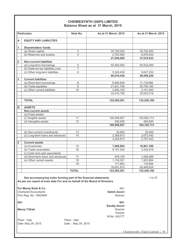#### **CHEMIESYNTH (VAPI) LIMITED Balance Sheet as at 31 March, 2015**

|                         | <b>Particulars</b>                 | Note No.                  | As at 31 March, 2015 | As at 31 March, 2014 |
|-------------------------|------------------------------------|---------------------------|----------------------|----------------------|
| A                       | <b>EQUITY AND LIABILITIES</b>      |                           |                      |                      |
| 1                       | <b>Shareholders' funds</b>         |                           |                      |                      |
|                         | (a) Share capital                  | $\ensuremath{\mathsf{3}}$ | 30,700,000           | 30,700,000           |
|                         | (b) Reserves and surplus           | $\overline{4}$            | 2,763,905            | 6,976,933            |
|                         |                                    |                           | 27,936,095           | 37,676,933           |
| $\overline{\mathbf{2}}$ | <b>Non-current liabilities</b>     |                           |                      |                      |
|                         | (a) Long-term borrowings           | 5                         | 55,592,000           | 50,532,000           |
|                         | (b) Deferred tax liabilities (net) | $\overline{7}$            |                      |                      |
|                         | (c) Other long-term liabilities    | 6                         | 5,326,430            | 9,027,230            |
|                         |                                    |                           | 60,918,430           | 59,559,230           |
| 3                       | <b>Current liabilities</b>         |                           |                      |                      |
|                         | (a) Short-term borrowings          | 8                         | 8,494,836            | 11,118,896           |
|                         | (b) Trade payables                 | 9                         | 21,631,769           | 20,759,180           |
|                         | (c) Other current liabilities      | 10                        | 3,284,153            | 3,141,943            |
|                         |                                    |                           | 33,410,758           | 35,020,019           |
|                         |                                    |                           |                      |                      |
|                         | <b>TOTAL</b>                       |                           | 122,265,281          | 132,256,180          |
| B                       | <b>ASSETS</b>                      |                           |                      |                      |
|                         | <b>Non-current assets</b>          |                           |                      |                      |
|                         | (a) Fixed assets                   |                           |                      |                      |
|                         | (i) Tangible assets                | 11                        | 100,408,657          | 103,652,113          |
|                         | (ii) Intangible assets             | $\overline{12}$           | 450,000              | 450,000              |
|                         |                                    |                           | 100,858,657          | 104, 102, 113        |
|                         | (b) Non-current investments        | 13                        | 35,000               | 35,000               |
|                         | (c) Long-term loans and advances   | 14                        | 3,369,813            | 2,672,442            |
|                         |                                    |                           | 3,404,813            | 2,707,442            |
| $\overline{\mathbf{2}}$ | <b>Current assets</b>              |                           |                      |                      |
|                         | (a) Inventories                    | 15                        | 7,608,894            | 16,801,396           |
|                         | (b) Trade receivables              | 16                        | 8,157,524            | 3,332,919            |
|                         | (c) Cash and cash equivalents      |                           |                      |                      |
|                         | (d) Short-term loans and advances  | 17                        | 978,129              | 3,268,998            |
|                         | (e) Other current assets           | $\overline{18}$           | 1,139,301            | 1,923,664            |
|                         |                                    | 19                        | 117,963              | 119,648              |
|                         |                                    |                           | 18,001,810           | 25,446,624           |
|                         |                                    | <b>TOTAL</b>              | 122,265,281          | 132,256,180          |

**See accompanying notes forming part of the financial statements** 1 to 37 **As per our report of even date For and on behalf of the Board of Directors** 

**For Manoj Shah & Co. Solution** Solution Solution Solution Solution Solution Solution Solution Solution Solution Solution Solution Solution Solution Solution Solution Solution Solution Solution Solution Solution Solution Chartered Accountants **Satish Zaveri** Firm Reg. No: 106036W Director

**Sd/- Sd/-** 

**Manoj T.Shah** 

Place : Vapi **Place : Vapi** 

Date :May 29, 2015 Date : May 29, 2015

Chemiesynth (Vapi) Limited | 30

**Sandip Zaveri** 

Partner M.No. 043777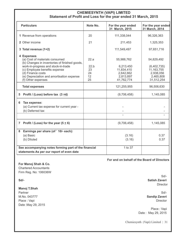# **CHEMIESYNTH (VAPI) LIMITED Statement of Profit and Loss for the year ended 31 March, 2015**

| <b>Particulars</b>                                                                                                                                                                                                                                            | Note No.                             | For the year ended<br>31 March, 2015                                          | For the year ended<br>31 March, 2014                                              |
|---------------------------------------------------------------------------------------------------------------------------------------------------------------------------------------------------------------------------------------------------------------|--------------------------------------|-------------------------------------------------------------------------------|-----------------------------------------------------------------------------------|
| 1 Revenue from operations                                                                                                                                                                                                                                     | 20                                   | 111,338,044                                                                   | 96,326,363                                                                        |
| 2 Other income                                                                                                                                                                                                                                                | 21                                   | 211,453                                                                       | 1,325,353                                                                         |
| 3 Total revenue (1+2)                                                                                                                                                                                                                                         |                                      | 111,549,497                                                                   | 97,651,716                                                                        |
| 4 Expenses<br>(a) Cost of materials consumed<br>(b) Changes in inventories of finished goods,<br>work-in-progress and stock-in-trade<br>(c) Employee benefits expense<br>(d) Finance costs<br>(e) Depreciation and amortisation expense<br>(f) Other expenses | 22.a<br>22.b<br>23<br>24<br>12<br>25 | 55,988,762<br>6,213,450<br>11,834,410<br>2,642,662<br>2,813,897<br>41,762,774 | 54,829,492<br>(6,402,735)<br>11, 163, 755<br>2,938,056<br>2,465,808<br>31,512,254 |
| <b>Total expenses</b>                                                                                                                                                                                                                                         |                                      | 121,255,955                                                                   | 96,506,630                                                                        |
| Profit / (Loss) before tax $(3 + 4)$<br>5                                                                                                                                                                                                                     |                                      | (9,706,458)                                                                   | 1,145,085                                                                         |
| Tax expense:<br>6<br>(a) Current tax expense for current year -<br>(b) Deferred tax                                                                                                                                                                           |                                      |                                                                               |                                                                                   |
| 7 Profit / (Loss) for the year $(5 \pm 6)$                                                                                                                                                                                                                    |                                      | (9,706,458)                                                                   | 1,145,085                                                                         |
| Earnings per share (of ' 10/- each):<br>8<br>(a) Basic<br>(b) Diluted                                                                                                                                                                                         |                                      | (3.16)<br>(3.16)                                                              | 0.37<br>0.37                                                                      |
| See accompanying notes forming part of the financial<br>statements As per our report of even date                                                                                                                                                             |                                      | 1 to 37                                                                       |                                                                                   |

#### **For and on behalf of the Board of Directors**

**For Manoj Shah & Co.**  Chartered Accountants

Firm Reg. No: 106036W

**Manoj T.Shah**  Partner Sd/-

M.No. 043777 **Sandip Zaveri**  Place : Vapi Director Date :May 29, 2015

Sd/- **Sd/- Satish Zaveri**  Director

 Place : Vapi Date : May 29, 2015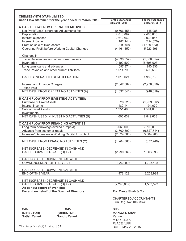| <b>CHEMIESYNTH (VAPI) LIMITED</b><br>Cash Flow Statement for the year ended 31 March, 2015 | For the year ended | For the year ended |
|--------------------------------------------------------------------------------------------|--------------------|--------------------|
|                                                                                            | 31 March, 2015     | 31 March, 2014     |
| A CASH FLOW FROM OPERATING ACTIVITIES:                                                     |                    |                    |
| Net Profit/(Loss) before tax Adjustments for:                                              | (9,706,458)        | 1,145,085          |
| Depreciation                                                                               | 2,813,897          | 2,465,808          |
| Interest expenses                                                                          | 2,642,662          | 2,938,056          |
| Interest income                                                                            | (182, 144)         | (194, 670)         |
| Profit on sale of fixed assets                                                             | (29, 309)          | (1, 130, 683)      |
| Operating Profit before Working Capital Changes                                            | (4,461,352)        | 5,223,596          |
| Changes in:                                                                                |                    |                    |
| Trade Receivables and other current assets                                                 | (4,038,557)        | (1,386,854)        |
| Inventories                                                                                | 9,192,502          | (8,695,903)        |
| Long term loans and advances                                                               | (697, 371)         | 250,336            |
| Trade Payables and other current liabilities                                               | 1,014,799          | 6,598,562          |
| CASH GENERATED FROM OPERATIONS                                                             | 1,010,021          | 1,989,738          |
| Interest and Finance Charges                                                               | (2,642,662)        | (2,938,056)        |
| <b>Taxes Paid</b>                                                                          |                    |                    |
| NET CASH FROM OPERATING ACTIVITIES (A)                                                     | (1,632,641)        | (948, 319)         |
| <b>B CASH FLOW FROM INVESTING ACTIVITIES:</b>                                              |                    |                    |
| <b>Purchase of Fixed Assets</b>                                                            | (826, 920)         | (1,939,012)        |
| Interest income                                                                            | 182,144            | 194,670            |
| Sale of Fixed Assets                                                                       | 1,251,408          | 4,594,000          |
| Investments                                                                                |                    |                    |
| NET CASH USED IN INVESTING ACTIVITIES (B)                                                  | 606,632            | 2,849,658          |
| C CASH FLOW FROM FINANCING ACTIVITIES:                                                     |                    |                    |
| Long term borrowings availed / (repaid)                                                    | 5,060,000          | 2,705,000          |
| Advance from customer repaid                                                               | (3,700,800)        | (6,627,714)        |
| Increase/(Decrease) in Working Capital from Bank                                           | (2,624,060)        | 3,584,968          |
| NET CASH FROM FINANCING ACTIVITIES (C)                                                     | (1, 264, 860)      | (337, 746)         |
| NET INCREASE/(DECREASE) IN CASH AND                                                        |                    |                    |
| CASH EQUIVALENTS (A) + (B) + (C)                                                           | (2, 290, 869)      | 1,563,593          |
| CASH & CASH EQUIVALENTS AS AT THE                                                          |                    |                    |
| COMMENCEMENT OF THE YEAR                                                                   | 3,268,998          | 1,705,405          |
| CASH & CASH EQUIVALENTS AS AT THE                                                          |                    |                    |
| END OF THE YEAR                                                                            | 978,129            | 3,268,998          |
| NET INCREASE/(DECREASE) IN CASH AND                                                        |                    |                    |
| CASH EQUIVALENTS $(A) + (B) + (C)$                                                         | (2, 290, 869)      | 1,563,593          |
| As per our report of even date                                                             |                    |                    |

For and on behalf of the Board of Directors **For Manoi Shah & Co.** 

CHARTERED ACCOUNTANTS Firm Reg. No: 106036W

**Sd/- Sd/- Sd/-** 

**Sandip Zaveri** 

**(DIRECTOR)** (DIRECTOR) MANOJ T. SHAH<br>
Satish Zaveri Sandip Zaveri **Mano** Partner M.NO.043777 PLACE: VAPI

Chemiesynth (Vapi) Limited | 32 DATE: May 29, 2015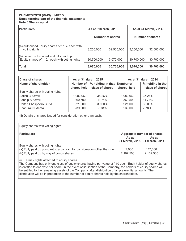#### **CHEMIESYNTH (VAPI) LIMITED Notes forming part of the financial statements Note 3 Share capital**

| <b>Particulars</b>                                                                         | As at 31 March, 2015    |            | As at 31 March, 2014 |            |
|--------------------------------------------------------------------------------------------|-------------------------|------------|----------------------|------------|
|                                                                                            | <b>Number of shares</b> |            | Number of shares     |            |
| (a) Authorised Equity shares of '10/- each with<br>voting rights                           | 3,250,000               | 32,500,000 | 3,250,000            | 32,500,000 |
| (b) Issued, subscribed and fully paid up<br>Equity shares of '10/- each with voting rights | 30,700,000              | 3,070,000  | 30,700,000           | 30,700,000 |
| <b>Total</b>                                                                               | 3,070,000               | 30,700,000 | 3,070,000            | 30,700,000 |

| <b>Class of shares</b>           |                                           | As at 31 March, 2015 | As at 31 March, 2014 |                   |  |
|----------------------------------|-------------------------------------------|----------------------|----------------------|-------------------|--|
| Name of shareholder              | Number of   % holding in that   Number of |                      |                      | % holding in that |  |
|                                  | shares held                               | class of shares      | shares held          | class of shares   |  |
| Equity shares with voting rights |                                           |                      |                      |                   |  |
| Satish B Zaveri                  | 1,082,960                                 | 35.26%               | 1,082,960            | 35.26%            |  |
| Sandip S Zaveri                  | 360,500                                   | 11.74%               | 360,500              | 11.74%            |  |
| United Phosphorous Ltd           | 921,000                                   | 30.00%               | 921,000              | 30.00%            |  |
| Bhanurai N Mehta                 | 239,000                                   | 7.78%                | 239,000              | 7.78%             |  |

(ii) Details of shares issued for consideration other than cash:

| Equity shares with voting rights                                           |           |                                        |  |  |  |
|----------------------------------------------------------------------------|-----------|----------------------------------------|--|--|--|
| <b>Particulars</b>                                                         |           | Aggregate number of shares             |  |  |  |
|                                                                            | As at     | As at<br>31 March, 2015 31 March, 2014 |  |  |  |
| Equity shares with voting rights                                           |           |                                        |  |  |  |
| (a) Fully paid up pursuant to a contract for consideration other than cash | 147,000   | 147,000                                |  |  |  |
| (b) Fully paid up by way of bonus shares                                   | 2,107,500 | 2,107,500                              |  |  |  |

(iii) Terms / rights attached to equity shares

The Company has only one class of equity shares having par value of ' 10 each. Each holder of equity shares is entitled to one vote per share. In the event of liquidation of the Company, the holders of equity shares will be entitled to the remaining assets of the Company, after distribution of all preferential amounts. The distribution will be in proportion to the number of equity shares held by the shareholders.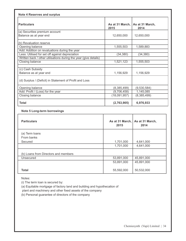| <b>Note 4 Reserves and surplus</b>                               |                         |                         |
|------------------------------------------------------------------|-------------------------|-------------------------|
| <b>Particulars</b>                                               | As at 31 March,<br>2015 | As at 31 March,<br>2014 |
| (a) Securities premium account                                   |                         |                         |
| Balance as at year end                                           | 12,650,000              | 12,650,000              |
| (b) Revaluation reserve                                          |                         |                         |
| Opening balance                                                  | 1,555,503               | 1,589,883               |
| Add: Addition on revaluations during the year                    |                         |                         |
| Less: Utilised for set off against depreciation                  | (34, 380)               | (34, 380)               |
| Written back / other utilisations during the year (give details) |                         |                         |
| Closing balance                                                  | 1,521,123               | 1,555,503               |
| (c) Cash Subsidy                                                 |                         |                         |
| Balance as at year end                                           | 1,156,929               | 1,156,929               |
| (d) Surplus / (Deficit) in Statement of Profit and Loss          |                         |                         |
| Opening balance                                                  | (8,385,499)             | (9,530,584)             |
| Add: Profit / (Loss) for the year                                | (9,706,458)             | 1,145,085               |
| Closing balance                                                  | (18,091,957)            | (8,385,499)             |
| <b>Total</b>                                                     | (2,763,905)             | 6,976,933               |

#### **Note 5 Long-term borrowings**

| <b>Particulars</b>                   | 2015       | As at 31 March,   As at 31 March,<br>2014 |
|--------------------------------------|------------|-------------------------------------------|
| (a) Term loans                       |            |                                           |
| From banks                           |            |                                           |
| Secured                              | 1,701,000  | 4,641,000                                 |
|                                      | 1,701,000  | 4,641,000                                 |
| (b) Loans from Directors and members |            |                                           |
| Unsecured                            | 53,891,000 | 45,891,000                                |
|                                      | 53,891,000 | 45,891,000                                |
| <b>Total</b>                         | 55,592,000 | 50,532,000                                |

Notes:

(i) The term loan is secured by:

(a) Equitable mortgage of factory land and building and hypothecation of

plant and machinery and other fixed assets of the company

(b) Personal guarantee of directors of the company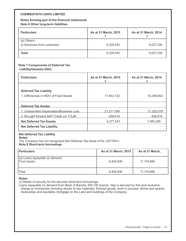#### **CHEMIESYNTH (VAPI) LIMITED**

**Notes forming part of the financial statements Note 6 Other long-term liabilities** 

| <b>Particulars</b>                         | As at 31 March, 2015 | As at 31 March, 2014 |
|--------------------------------------------|----------------------|----------------------|
| (a) Others:<br>(i) Advances from customers | 5,326,430            | 9,027,230            |
| <b>Total</b>                               | 5,326,430            | 9,027,230            |

#### **Note 7 Components of Deferred Tax**

#### **Liability/(Assets) (Net)**

| <b>Particulars</b>                                                     | As at 31 March, 2015 | As at 31 March, 2014 |  |  |
|------------------------------------------------------------------------|----------------------|----------------------|--|--|
| <b>Deferred Tax Liability</b><br>1. Differences in WDV of Fixed Assets | 17,453,132           | 16,298,902           |  |  |
| <b>Deferred Tax Asstes</b>                                             |                      |                      |  |  |
| 1. Unabsorbed Depreciation/Business Loss                               | 21.271.556           | 17,325,579           |  |  |
| 2. Brought forward MAT Credit u/s 115JB                                | 458,618              | 458,618              |  |  |
| <b>Net Deferred Tax Assets</b>                                         | 4,277,041            | 1,485,295            |  |  |
| <b>Net Deferred Tax Liability</b>                                      |                      |                      |  |  |

#### **Net Deferred Tax Liability Notes:**

The Company has not recognised Net Deferred Tax Asset of Rs. 4277041/-

**Note 8 Short-term borrowings** 

| <b>Particulars</b>                          | As at 31 March, 2015 | As at 31 March, |  |  |
|---------------------------------------------|----------------------|-----------------|--|--|
| (a) Loans repayable on demand<br>From banks | 8,494,836            | 11,118,896      |  |  |
| Total                                       | 8,494,836            | 11,118,896      |  |  |

#### **Notes:**

(i) Details of security for the secured short-term borrowings:

Loans repayable on demand from Bank of Baroda, SSI VIE branch, Vapi is secured by first and exclusive charge on inventories including stocks of raw materials, finished goods, work in process, stores and spares, receivables and equitable mortgage on the Land and buildings of the Company.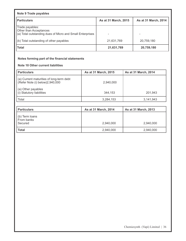| Note 9 Trade payables                                                                                  |                      |                      |  |  |  |  |  |  |
|--------------------------------------------------------------------------------------------------------|----------------------|----------------------|--|--|--|--|--|--|
| <b>Particulars</b>                                                                                     | As at 31 March, 2015 | As at 31 March, 2014 |  |  |  |  |  |  |
| Trade payables:<br>Other than Acceptances<br>(a) Total outstanding dues of Micro and Small Enterprises |                      | -                    |  |  |  |  |  |  |
| (b) Total outstanding of other payables                                                                | 21,631,769           | 20,759,180           |  |  |  |  |  |  |
| Total                                                                                                  | 21,631,769           | 20,759,180           |  |  |  |  |  |  |

# **Notes forming part of the financial statements**

#### **Note 10 Other current liabilities**

| l Particulars                                                                | <b>As at 31 March, 2015</b> | As at 31 March, 2014 |  |  |
|------------------------------------------------------------------------------|-----------------------------|----------------------|--|--|
| (a) Current maturities of long-term debt<br>(Refer Note (i) below) 2,940,000 | 2.940.000                   |                      |  |  |
| (a) Other payables<br>(i) Statutory liabilities                              | 344.153                     | 201.943              |  |  |
| l Total                                                                      | 3,284,153                   | 3,141,943            |  |  |

| <b>Particulars</b>                              | As at 31 March, 2014 | <b>As at 31 March, 2013</b> |
|-------------------------------------------------|----------------------|-----------------------------|
| $\vert$ (b) Term loans<br>From banks<br>Secured | 2,940,000            | 2,940,000                   |
| Total                                           | 2,940,000            | 2,940,000                   |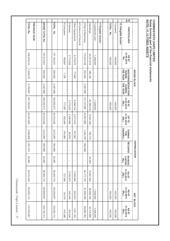Chemiesynth (Vapi) Limited | 37 Chemiesynth (Vapi) Limited | 37

|                 |                      |                       |               |                |                |                  |                            |                     |              |                 |                     |              |                |                      | <u>종종</u>                                            |                  |
|-----------------|----------------------|-----------------------|---------------|----------------|----------------|------------------|----------------------------|---------------------|--------------|-----------------|---------------------|--------------|----------------|----------------------|------------------------------------------------------|------------------|
| <b>TOTAL RS</b> | <b>PREVIOUS YEAR</b> | <b>GRAND TOTAL Rs</b> | TOTAL<br>Rs   | 6Computers     | 5 Vehicles     | Other Equipments | 4 Furniture & Fixture<br>ۿ | 3 Plant & Machinery | 2 Buildings  | 1Leasehold Land | 11 Tangible Assets. | TOTAL<br>Rs  | 1Goodwill      | 12 ntangible Assets: | PARTICULARS                                          |                  |
| 169,978,216     |                      | 167,612,541           | 167, 162, 541 | 769,887        | 2,773,220      | 6,219,070        |                            | 113,670,748         | 42,201,616   | 1,528,000       |                     | 450,000      | 450,000        |                      | <b>AS AT<br/>01.04.2014</b><br>Rs.                   |                  |
| 1,939,012       |                      | 826,920               | 826,920       | 7,700          | $\mathbf{I}$   | 77,664           |                            | 553,430             | 188,126      | ï               |                     | J.           | $\mathbf I$    |                      | <b>THE YEAR</b><br><b>ADDITIONS</b><br><b>DURING</b> | GROSS BLOCK      |
| 4,754,687       |                      | 2,087,088             | 2,087,088     | $\mathbf{I}$   | $\mathbf{I}$   | $\mathbf{I}$     |                            | 2,087,088           | $\mathbf{I}$ | $\,$            |                     | $\mathbf{I}$ | $\mathbf{I}$   |                      | <b>DEDUCTION</b><br>THE YEAR<br><b>DURING</b>        |                  |
| 167, 162, 541   |                      | 166,352,373           | 165,902,373   | 777,587        | 2,773,220      | 6,296,734        |                            | 112, 137, 090       | 42,389,742   | 1,528,000       |                     | 450,000      | 450,000        |                      | AS AT<br>31.03.2015<br>(Rs.)                         |                  |
| 62,301,609      |                      | 63,510,428            | 63,510,428    | 353,499        | 2,239,996      | 5,017,918        |                            | 43,807,985          | 12,091,030   | J.              |                     | $\mathbf{I}$ | $\mathbf{I}$   |                      | 31.03.2014<br><b>UP TO</b><br>(Rs.)                  |                  |
| 2,465,808       |                      | 2,813,897             | 2,813,897     | 374,069        | 826'06         | 347,942          |                            | 1,234,736           | 766,172      | ï               |                     | $\mathsf I$  | $\blacksquare$ |                      | <b>YEAR(Rs.)</b><br>DURING<br>THE                    |                  |
| 1,291,370       |                      | 864,989               | 864,989       | $\mathbf I$    | $\blacksquare$ | $\blacksquare$   |                            | 864,989             | $\mathbf{I}$ | $\,$            |                     | $\mathbf I$  | $\blacksquare$ |                      | 쯔<br>ECOUPED                                         | DEPRECIATION     |
| 34,380          |                      | 34,380                | 34,380        | $\blacksquare$ | $\mathbf I$    | 1                |                            | $\mathbf{I}$        | 34,380       | ï               |                     | $\mathbf{I}$ | $\mathbf{I}$   |                      | ON REVA-<br><b>LUATION</b><br>(Rs.)                  |                  |
| 63,510,428      |                      | 65,493,716            | 65,493,716    | 727,568        | 2,330,974      | 5,365,860        |                            | 44,177,732          | 12,891,582   | ı               |                     | Ţ            | $\mathbf{I}$   |                      | 31.03.2015<br>AS AT<br>(Rs.)                         |                  |
| 103,652,113     |                      | 100,858,657           | 100,408,657   | 50,019         | 442,246        | 930,874          |                            | 67,959,358          | 29,498,160   | 1,528,000       |                     | 450,000      | 450,000        |                      | <b>AS AT<br/>31.03.2015</b><br>(Rs.)                 | <b>NET BLOCK</b> |
| 107,676,607     |                      | 104, 102, 113         | 103,652,113   | 416,388        | 533,224        | 1,201,152        |                            | 69,862,763          | 30,110,586   | 1,528,000       |                     | 450,000      | 450,000        |                      | AS AT<br>31.03.2014<br>(Rs.)                         |                  |

CHEMIESYNTH (VAPI) LIMITED<br>Notes forming part of the financial statements<br><u>NOTE:-11,12 FIXED ASSETS</u> **NOTE:-1 Notes forming part of the financial statements CHEMIESYNTH (VAPI) LIMITED 1,12 FIXED ASSETS**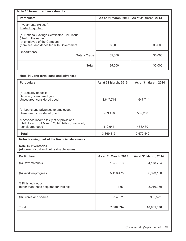| <b>Note 13 Non-current investments</b>                                                        |                                             |        |  |  |  |  |  |
|-----------------------------------------------------------------------------------------------|---------------------------------------------|--------|--|--|--|--|--|
| <b>Particulars</b>                                                                            | As at 31 March, 2015   As at 31 March, 2014 |        |  |  |  |  |  |
| Investments (At cost):<br>Trade, Unquoted:<br>(a). National Savings Certificates - VIII Issue |                                             |        |  |  |  |  |  |
| (Held in the name<br>of employee of the Company<br>(nominee) and deposited with Government    | 35,000                                      | 35,000 |  |  |  |  |  |
| Department)<br><b>Total - Trade</b>                                                           | 35,000                                      | 35,000 |  |  |  |  |  |
| <b>Total</b>                                                                                  | 35,000                                      | 35,000 |  |  |  |  |  |

## **Note 14 Long-term loans and advances**

| <b>Particulars</b>                                                                                            | As at 31 March, 2015 | As at 31 March, 2014 |
|---------------------------------------------------------------------------------------------------------------|----------------------|----------------------|
| (a) Security deposits<br>Secured, considered good<br>Unsecured, considered good                               | 1,647,714            | 1,647,714            |
| (b) Loans and advances to employees<br>Unsecured, considered good                                             | 909,458              | 569,258              |
| © Advance income tax (net of provisions<br>' Nil (As at 31 March, 2014 ' Nil) - Unsecured,<br>considered good | 812,641              | 455,470              |
| <b>Total</b>                                                                                                  | 3,369,813            | 2,672,442            |

## **Notes forming part of the financial statements**

#### **Note 15 Inventories**

(At lower of cost and net realisable value)

| <b>Particulars</b>                                          | As at 31 March, 2015 | As at 31 March, 2014 |
|-------------------------------------------------------------|----------------------|----------------------|
| (a) Raw materials                                           | 1,257,913            | 4,178,764            |
| (b) Work-in-progress                                        | 5,426,475            | 6,623,100            |
| © Finished goods<br>(other than those acquired for trading) | 135                  | 5,016,960            |
| (d) Stores and spares                                       | 924,371              | 982,572              |
| <b>Total</b>                                                | 7,608,894            | 16,801,396           |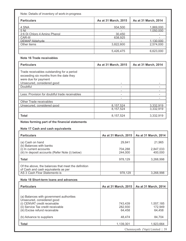| Note: Details of inventory of work-in-progress |                      |                      |  |  |  |  |  |  |
|------------------------------------------------|----------------------|----------------------|--|--|--|--|--|--|
| <b>Particulars</b>                             | As at 31 March, 2015 | As at 31 March, 2014 |  |  |  |  |  |  |
| 4 SNA                                          | 934,500              | 1,869,000            |  |  |  |  |  |  |
| 5 NI                                           |                      | 1.050.000            |  |  |  |  |  |  |
| 2:6 Di Chloro 4 Amino Phenol                   | 30,450               |                      |  |  |  |  |  |  |
| CAR-III                                        | 638,925              |                      |  |  |  |  |  |  |
| DEMAP Aldehyde                                 |                      | 1.130.000            |  |  |  |  |  |  |
| Other items                                    | 3,822,600            | 2,574,000            |  |  |  |  |  |  |
|                                                |                      |                      |  |  |  |  |  |  |
|                                                | 5,426,475            | 6,623,000            |  |  |  |  |  |  |

### **Note 16 Trade receivables**

| <b>Particulars</b>                                                                                                                          | As at 31 March, 2015 | As at 31 March, 2014 |
|---------------------------------------------------------------------------------------------------------------------------------------------|----------------------|----------------------|
| Trade receivables outstanding for a period<br>exceeding six months from the date they<br>were due for payment<br>Unsecured, considered good |                      |                      |
| Doubtful                                                                                                                                    |                      |                      |
|                                                                                                                                             |                      |                      |
| Less: Provision for doubtful trade receivables                                                                                              |                      |                      |
|                                                                                                                                             |                      |                      |
| Other Trade receivables                                                                                                                     |                      |                      |
| Unsecured, considered good                                                                                                                  | 8,157,524            | 3,332,919            |
|                                                                                                                                             | 8,157,524            | 3,332,919            |
| <b>Total</b>                                                                                                                                | 8, 157, 524          | 3,332,919            |

# **Notes forming part of the financial statements**

#### **Note 17 Cash and cash equivalents**

| <b>Particulars</b>                                                                         | As at 31 March, 2015 | As at 31 March, 2014 |
|--------------------------------------------------------------------------------------------|----------------------|----------------------|
| (a) Cash on hand<br>(b) Balances with banks                                                | 29,841               | 21,965               |
| (i) In current accounts<br>(iii) In deposit accounts (Refer Note (i) below)                | 704,288<br>244.000   | 2,847,033<br>400,000 |
| Total                                                                                      | 978,129              | 3,268,998            |
| Of the above, the balances that meet the definition<br>of Cash and cash equivalents as per |                      |                      |
| AS 3 Cash Flow Statements is                                                               | 978,129              | 3,268,998            |
|                                                                                            |                      |                      |

#### **Note 18 Short-term loans and advances**

| <b>Particulars</b>                                                                                                                                                             | As at 31 March, 2015         | As at 31 March, 2014           |
|--------------------------------------------------------------------------------------------------------------------------------------------------------------------------------|------------------------------|--------------------------------|
| (a) Balances with government authorities<br>Unsecured, considered good<br>(i) CENVAT credit receivable<br>(ii) Service Tax credit receivable<br>(iii) Excise refund receivable | 743,439<br>282,930<br>64.458 | 1,557,185<br>172,949<br>64.458 |
| (b) Advance to suppliers                                                                                                                                                       | 48.474                       | 84,704                         |
| <b>Total</b>                                                                                                                                                                   | 1,139,301                    | 1,923,664                      |
|                                                                                                                                                                                |                              | Chomiowith (Van) I imital 1.30 |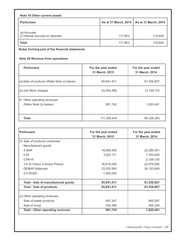| Note 19 Other current assets                     |         |                                             |
|--------------------------------------------------|---------|---------------------------------------------|
| <b>Particulars</b>                               |         | As at 31 March, 2015   As at 31 March, 2014 |
| (a) Accruals<br>(i) Interest accrued on deposits | 117,963 | 119,648                                     |
| <b>Total</b>                                     | 117,963 | 119,648                                     |

**Notes forming part of the financial statements** 

## **Note 20 Revenue from operations**

| <b>Particulars</b>                                        | For the year ended<br>31 March, 2015 | For the year ended<br>31 March, 2014 |
|-----------------------------------------------------------|--------------------------------------|--------------------------------------|
| (a) Sale of products (Refer Note (i) below)               | 85,841,811                           | 81,536,807                           |
| (b) Job Work charges                                      | 24,504,490                           | 13,169,115                           |
| I©<br>Other operating revenues<br>(Refer Note (ii) below) | 991,743                              | 1,620,441                            |
| <b>Total</b>                                              | 111,338,044                          | 96,326,363                           |

| <b>Particulars</b>                         | For the year ended | For the year ended |
|--------------------------------------------|--------------------|--------------------|
|                                            | 31 March, 2015     | 31 March, 2014     |
| Sale of products comprises:<br>$\vert$ (1) |                    |                    |
| Manufactured goods                         |                    |                    |
| 4 SNA                                      | 18,909,200         | 23,290,301         |
| 5 NI                                       | 3,057,111          | 7,353,600          |
| CAR-III                                    |                    | 2,164,100          |
| 2:6 Di Chloro 4 Amino Phenol               | 38,618,000         | 22,575,000         |
| <b>DEMAP Aldehyde</b>                      | 23,352,500         | 26,153,806         |
| $2:4$ DCBS                                 | 1,905,000          |                    |
| <b>Total - Sale of manufactured goods</b>  | 85,841,811         | 81,536,807         |
| <b>Total - Sale of products</b>            | 85,841,811         | 81,536,807         |
| (ii) Other operating revenues:             |                    |                    |
| Sale of waste products                     | 487,347            | 665,097            |
| Sale of scrap                              | 504,396            | 955,344            |
| <b>Total - Other operating revenues</b>    | 991,743            | 1,620,441          |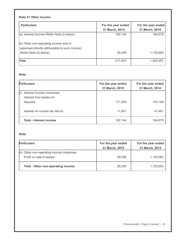## **Note 21 Other income**

| <b>Particulars</b>                                                                                                                     | For the year ended<br>31 March, 2015 | For the year ended<br>31 March, 2014 |
|----------------------------------------------------------------------------------------------------------------------------------------|--------------------------------------|--------------------------------------|
| (a) Interest income (Refer Note (i) below)<br>(b) Other non-operating income (net of<br>expenses directly attributable to such income) | 182,144                              | 194,670                              |
| (Refer Note (ii) below)                                                                                                                | 29,309                               | 1,130,683                            |
| Total                                                                                                                                  | 211,453                              | 1,325,353                            |

#### **Note**

| <b>Particulars</b>                                                       | For the year ended<br>31 March, 2015 | For the year ended<br>31 March, 2014 |
|--------------------------------------------------------------------------|--------------------------------------|--------------------------------------|
| (i)<br>Interest income comprises:<br>Interest from banks on:<br>deposits | 171,093                              | 153,189                              |
| Interest on income tax refund                                            | 11,051                               | 41,481                               |
| <b>Total - Interest income</b>                                           | 182,144                              | 194,670                              |

#### **Note**

| <b>Particulars</b>                         | For the year ended | For the year ended |
|--------------------------------------------|--------------------|--------------------|
|                                            | 31 March, 2015     | 31 March, 2014     |
| (ii) Other non-operating income comprises: |                    |                    |
| Profit on sale of assets                   | 29,309             | 1,130,683          |
|                                            |                    |                    |
| <b>Total - Other non-operating income</b>  | 29,309             | 1,130,683          |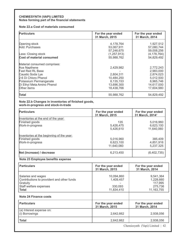#### **CHEMIESYNTH (VAPI) LIMITED Notes forming part of the financial statements**

#### **Note 22.a Cost of materials consumed**

| <b>Particulars</b>           | For the year ended<br>31 March, 2015 | For the year ended<br>31 March, 2014 |
|------------------------------|--------------------------------------|--------------------------------------|
| Opening stock                | 4,178,764                            | 1,927,512                            |
| Add: Purchases               | 53,067,911                           | 57,080,744                           |
|                              | 57,246,675                           | 59,008,256                           |
| Less: Closing stock          | (1, 257, 913)                        | (4, 178, 764)                        |
| Cost of material consumed    | 55,988,762                           | 54,829,492                           |
| Material consumed comprises: |                                      |                                      |
| Ace Napthene                 | 2,429,982                            | 2,772,243                            |
| <b>Fast Red RL Base</b>      |                                      | 2,983,000                            |
| Caustic Soda Lye             | 2,804,311                            | 2,874,023                            |
| 2:6 Di Chloro Phenol         | 10,484,250                           | 5,012,500                            |
| Potassium Permanganate       | 8,135,153                            | 8,965,746                            |
| Di Ethyl Meta Amino Phenol   | 13,696,300                           | 14,617,000                           |
| Other items                  | 18,438,766                           | 17,604,980                           |
| Total                        | 55,988,762                           | 54,829,492                           |

#### **Note 22.b Changes in inventories of finished goods, work-in-progress and stock-in-trade**

| <b>Particulars</b>                                                              | For the year ended<br>31 March, 2015 | For the year ended<br>31 March, 2014' |
|---------------------------------------------------------------------------------|--------------------------------------|---------------------------------------|
| Inventories at the end of the year:                                             |                                      |                                       |
| Finished goods<br>Work-in-progress                                              | 135<br>5,426,475<br>5,426,610        | 5,016,960<br>6,623,100<br>11,640,060  |
| Inventories at the beginning of the year:<br>Finished goods<br>Work-in-progress | 5,016,960<br>6,623,100<br>11,640,060 | 385,409<br>4,851,916<br>5,237,325     |
| Net (increase) / decrease                                                       | 6,213,450                            | (6,402,735)                           |

#### **Note 23 Employee benefits expense**

| <b>Particulars</b>                                                                                                     | For the year ended<br>31 March, 2015             | For the year ended<br>31 March, 2014                         |
|------------------------------------------------------------------------------------------------------------------------|--------------------------------------------------|--------------------------------------------------------------|
| Salaries and wages<br>Contributions to provident and other funds<br>Gratuity<br>Staff welfare expenses<br><b>Total</b> | 10,094,860<br>1,409,457<br>330,093<br>11,834,410 | 9,541,364<br>1,228,660<br>117,995<br>275,736<br>11, 163, 755 |
| Note 24 Finance costs                                                                                                  |                                                  |                                                              |
| <b>Particulars</b>                                                                                                     | For the year ended<br>31 March, 2015             | For the year ended<br>31 March, 2014                         |
| (a) Interest expense on:<br>(i) Borrowings                                                                             | 2,642,662                                        | 2,938,056                                                    |
| <b>Total</b>                                                                                                           | 2,642,662                                        | 2,938,056                                                    |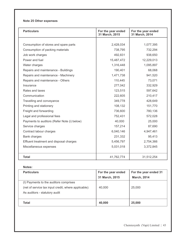## **Note 25 Other expenses**

| <b>Particulars</b>                          | For the year ended<br>31 March, 2015 | For the year ended<br>31 March, 2014 |
|---------------------------------------------|--------------------------------------|--------------------------------------|
|                                             |                                      |                                      |
| Consumption of stores and spare parts       | 2,428,034                            | 1,077,395                            |
| Consumption of packing materials            | 738,795                              | 732,294                              |
| Job work charges                            | 492,831                              | 938,650                              |
| Power and fuel                              | 15,487,472                           | 12,229,013                           |
| Water charges                               | 1,316,448                            | 1,095,897                            |
| Repairs and maintenance - Buildings         | 190,401                              | 68,068                               |
| Repairs and maintenance - Machinery         | 1,471,738                            | 941,520                              |
| Repairs and maintenance - Others            | 110,445                              | 73,071                               |
| Insurance                                   | 277,042                              | 332,929                              |
| Rates and taxes                             | 123,515                              | 597,642                              |
| Communication                               | 222,605                              | 210,417                              |
| Travelling and conveyance                   | 349,778                              | 428,649                              |
| Printing and stationery                     | 108,132                              | 151,770                              |
| Freight and forwarding                      | 736,600                              | 780,136                              |
| Legal and professional fees                 | 752,431                              | 572,028                              |
| Payments to auditors (Refer Note (i) below) | 40,000                               | 25,000                               |
| Service charges                             | 157,214                              | 87,690                               |
| Contract labour charges                     | 6,040,146                            | 4,947,461                            |
| <b>Bank charges</b>                         | 231,332                              | 95,413                               |
| Effluent treatment and disposal charges     | 5,456,797                            | 2,754,366                            |
| Miscellaneous expenses                      | 5,031,018                            | 3,372,845                            |
| <b>Total</b>                                | 41,762,774                           | 31,512,254                           |

#### **Notes:**

| <b>Particulars</b>                                                                                                              | For the year ended<br>31 March, 2015 | For the year ended 31<br><b>March, 2014</b> |
|---------------------------------------------------------------------------------------------------------------------------------|--------------------------------------|---------------------------------------------|
| (I) Payments to the auditors comprises<br>(net of service tax input credit, where applicable):<br>As auditors - statutory audit | 40,000                               | 25,000                                      |
| Total                                                                                                                           | 40,000                               | 25,000                                      |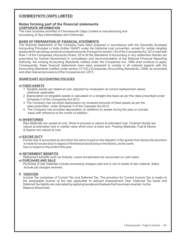# **CHEMIESYNTH (VAPI) LIMITED**

#### **Notes forming part of the financial statements CORPORATE INFORMATION**

The main business activities of Chemiesynth (Vapi) Limited is manufacturing and processing of Dye Intermediates and Chemicals.

#### **BASIS OF PREPARATION OF FINANCIAL STATEMENTS**

The financial statements of the Company have been prepared in accordance with the Generally Accepted Accounting Principles in India (Indian GAAP) under the historical cost convention, except for certain tangible assets which are being carried at revalued amounts.Pursuant to section 133 of the Companies Act, 2013 read with Rule 7 of the Companies (Accounts) Rules, 2014 till the Standards of Accounting or any addendum thereto are prescribed by Central Government in consultation and recommendation of the National Financial Reporting Authority, the existing Accounting Standards notified under the Companies Act, 1956 shall continue to apply. Consequently, these financial statements have been prepared to comply in all material aspects with the Accounting Standards notified under section 211(3C) [Companies (Accounting Standards), 2006, as amended] and other relevant provisions of the Companies Act, 2013.

#### **SIGNIFICANT ACCOUNTING POLICIES**

#### **a) FIXED ASSETS**

- 1. Tangible assets are stated at cost, adjusted by revaluation at current replacement values wherever applicable.
- 2. Depreciation on tangiable assets is calculated on a straight-line basis as per the rates prescribed under Schedule II of the Companies Act,2013.
- 3. The Company has provided depreciation on revalued amounts of fixed assets as per the rates prescribed under Schedule II of the Copanies Act,2013
- 4. The Company has provided depreciation on additions to assets during the year on prorata basis with reference to the month of addition..

#### **b) INVENTORIES**

Raw Materials are valued at cost, Work-in-process is valued at estimated cost, Finished Goods are valued at estimated cost or market value which ever is lower and Packing Materials, Fuel & Stores & Spares are valued at cost.

#### **c) EXCISE DUTY**

 Excise duty is accounted as and when the same is paid on the dispatch of the goods from factory.No provision is made for excise duty in respect of finished products lying in the factory, as the same has no impact on the profit of the year.

#### **d) RETIREMENT BENEFITS**

Retirement benefits such as Gratuity, Leave encashment are accounted on cash basis.

#### **e) PURCHASE AND SALE**

Purchase of raw materials include processing charges paid and is net of resale of raw material. Sales include job charges received.

#### **f) TAXATION**

Income Tax comprises of Current Tax and Deferred Tax. The provision for Current Income Tax is made on the assessable income at the rate applicable to relevant Assessement Year. Deferred Tax Asset and Deferred Tax liability are calculated by applying taxrate and taxlaws that have been enacted by the Balance Sheet Date.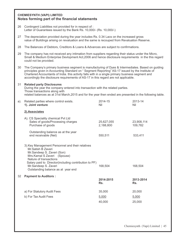### **CHEMIESYNTH (VAPI) LIMITED Notes forming part of the financial statements**

- 26 Contingent Liabilities not provided for in respect of : Letter of Guarantees issued by the Bank Rs. 10,000/- (Rs. 10,000/-)
- 27 The depreciation provided during the year includes Rs. 0.34 Lacs on the increased gross value of Buildings arising on revaluation and the same is recouped from Revaluation Reserve.
- 28 The Balances of Debtors, Creditors & Loans & Advances are subject to confirmations.
- 29 The company has not received any intimation from suppliers regarding their status under the Micro, Small & Medium Enterprise Devlopment Act,2006 and hence disclosure requirements in the this regard could not be provided.
- 30 The Company's primary business segment is manufacturing of Dyes & Intermediates. Based on guiding principles given in Accounting Standard on " Segment Reporting" AS-17 issued by the Institute of Chartered Accountants of India. this activity falls with in a single primary business segment and accordingly the disclosure requirements of AS-17 in this regard are not applicable.
- 31 **Related party Disclosures**

During the year the company entered into transaction with the related parties. Those transactions along with related balances as at 31st March,2015 and for the year then ended are presented in the following table.

| a). | Related parties where control exists.<br>1). Joint venture                                                                                                                                                                                                                            | 2014-15<br>Nil          | 2013-14<br>Nil        |
|-----|---------------------------------------------------------------------------------------------------------------------------------------------------------------------------------------------------------------------------------------------------------------------------------------|-------------------------|-----------------------|
|     | 2).Associates                                                                                                                                                                                                                                                                         |                         |                       |
|     | A). CS Speciality chemical Pvt Ltd<br>Sales of goods/Processing charges<br>Purchase of goods                                                                                                                                                                                          | 25,627,055<br>2,188,800 | 23,908,114<br>109,782 |
|     | Outstanding balance as at the year<br>end receivable (Net)                                                                                                                                                                                                                            | 550,511                 | 533,411               |
|     | 3). Key Management Personnel and their relatives<br>Mr.Satish B Zaveri<br>Mr.Sandeep S. Zaveri (Son)<br>Mrs. Kamal S Zaveri (Spouse)<br>Nature of transactions<br>Salary paid to Director(including contribution to PF)<br>Mr.Sandeep S. Zaveri<br>Outstanding balance as at year end | 168,504                 | 168,504               |
| 32  | <b>Payment to Auditors:</b>                                                                                                                                                                                                                                                           | 2014-2015<br>Rs.        | 2013-2014<br>Rs.      |
|     | a) For Statutory Audit Fees                                                                                                                                                                                                                                                           | 35,000                  | 20,000                |
|     | b) For Tax Audit Fees                                                                                                                                                                                                                                                                 | 5,000                   | 5,000                 |
|     |                                                                                                                                                                                                                                                                                       | 40,000                  | 25,000                |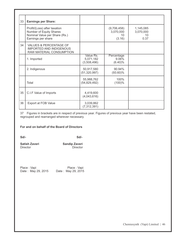| 33 | <b>Earnings per Share:</b>                                                                                     |                                       |                                          |                                      |
|----|----------------------------------------------------------------------------------------------------------------|---------------------------------------|------------------------------------------|--------------------------------------|
|    | Profit/(Loss) after taxation<br>Number of Equity Shares<br>Nominal Value per Share (Rs.)<br>Earnings per share |                                       | (9,706,458)<br>3,070,000<br>10<br>(3.16) | 1,145,085<br>3,070,000<br>10<br>0.37 |
| 34 | VALUES & PERCENTAGE OF<br><b>IMPORTED AND INDIGENOUS</b><br>RAW MATERIAL CONSUMPTION                           |                                       |                                          |                                      |
|    | 1. Imported                                                                                                    | Value Rs.<br>5,071,182<br>(3,508,496) | Percentage<br>9.06%<br>$(6.40)\%$        |                                      |
|    | 2. Indigenous                                                                                                  | 50,917,580<br>(51, 320, 997)          | 90.94%<br>$(93.60)\%$                    |                                      |
|    | Total                                                                                                          | 55,988,762<br>(54, 829, 492)          | 100%<br>(100)%                           |                                      |
| 35 | C.I.F Value of Imports                                                                                         | 4,419,600<br>(4,043,616)              |                                          |                                      |
| 36 | <b>Export at FOB Value</b>                                                                                     | 3,039,862<br>(7, 312, 391)            |                                          |                                      |

37 Figures in brackets are in respect of previous year. Figures of previous year have been restated, regrouped and rearranged wherever necessary.

#### **For and on behalf of the Board of Directors**

**Sd/- Sd/-** 

| <b>Satish Zaveri</b> | <b>Sandip Zaveri</b> |
|----------------------|----------------------|
| <b>Director</b>      | Director             |

| Place: Vapi        | Place: Vapi        |
|--------------------|--------------------|
| Date: May 29, 2015 | Date: May 29, 2015 |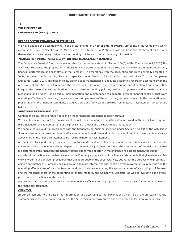#### **INDEPENDENT AUDITORS' REPORT**

## **To, THE MEMBERS OF CHEMIESYNTH (VAPI) LIMITED,**

#### **REPORT ON THE FINANCIAL STATEMENTS:**

We have audited the accompanying financial statements of **CHEMIESYNTH (VAPI) LIMITED,** ("the Company") which comprise the Balance Sheet as at 31 March, 2015, the Statement of Profit and Loss and Cash Flow Statement for the year then ended, and a summary of significant accounting policies and other explanatory information.

#### **MANAGEMENT'S RESPONSIBILITY FOR THE FINANCIAL STATEMENTS:**

The Company's Board of Directors is responsible for the matters stated in Section 134(5) of the Companies Act,2013 ("the Act") with respect to the preparation of these Financial Statements that give a true and fair view of the financial position, financial performance and cash flows of the Company in accordance with the accounting principles generally accepted in India, including the Accounting Standards specified under Section 133 of the Act, read with Rule 7 of the Companies (Accounts) Rules, 2014. This responsibility also includes maintenance of adequate accounting records in accordance with the provisions of the Act for safeguarding the assets of the Company and for preventing and detecting frauds and other irregularities; selection and application of appropriate accounting policies; making judgements and estimates that are reasonable and prudent; and design, implementation and maintenance of adequate internal financial controls, that were operating effectively for ensuring the accuracy and completeness of the accounting records, relevant to the preparation and presentation of the financial statements that give a true and fair view and are free from material misstatement, whether due to fraud or error.

#### **AUDITORS' RESPONSIBILITY :**

Our responsibility is to express an opinion on these financial statements based on our audit.

We have taken into account the provisions of the Act, the accounting and auditing standards and matters which are required to be included in the audit report under the provisions of the Act and the Rules made thereunder.

We conducted our audit in accordance with the Standards on Auditing specified under Section 143(10) of the Act. Those Standards require that we comply with ethical requirements and plan and perform the audit to obtain reasonable assurance about whether the financial statements are free from material misstatement.

An audit involves performing procedures to obtain audit evidence about the amounts and disclosures in the financial statements. The procedures selected depend on the auditor's judgment, including the assessment of the risks of material misstatement of the financial statements, whether due to fraud or error. In making those risk assessments, the auditor

considers internal financial control relevant to the Company's preparation of the financial statements that give a true and fair view in order to design audit procedures that are appropriate in the circumstances, but not for the purpose of expressing an opinion on whether the Company has in place an adequate internal financial controls system over financial reporting and the operating effectiveness of such controls. An audit also includes evaluating the appropriateness of accounting policies used and the reasonableness of the accounting estimates made by the Company's Directors, as well as evaluating the overall presentation of the financial statements.

We believe that the audit evidence we have obtained is sufficient and appropriate to provide a basis for our audit opinion on the financial statements.

#### **OPINION:**

In our opinion and to the best of our information and according to the explanations given to us, the aforesaid financial statements give the information required by the Act in the manner so required and give a true and fair view in conformity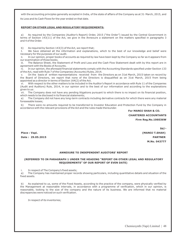with the accounting principles generally accepted in India, of the state of affairs of the Company as at 31 March, 2015, and its Loss and its Cash Flows for the year ended on that date.

#### **REPORT ON OTHER LEGAL AND REGULATORY REQUIREMENTS:**

As required by the Companies (Auditor's Report) Order, 2015 ("the Order") issued by the Central Government in terms of Section 143(11) of the Act, we give in the Annexure a statement on the matters specified in paragraphs 3 and 4 of the Order.

b) As required by Section 143(3) of the Act, we report that;

I. We have obtained all the information and explanations, which to the best of our knowledge and belief were necessary for the purposes of our audit.

ii. In our opinion, proper books of accounts as required by law have been kept by the Company so far as it appears from our examination of those books.

iii. The Balance Sheet, the Statement of Profit and Loss and the Cash Flow Statement dealt with by this report are in agreement with the Books of Accounts.

iv. In our opinion, the aforesaid financial statements comply with the Accounting Standards specified under Section 133 of the Act, read with Rule 7 of the Companies (Accounts) Rules, 2014.

v. On the basis of written representations received from the Directors as on 31st March, 2015 taken on record by the Board of Directors, we report that none of the Directors is disqualified as on 31st March, 2015 from being appointed as a director in terms of Section 164(2) of the Act.

vi. With respect to the other matters to be included in the Auditor's Report in accordance with Rule 11 of the Companies (Audit and Auditors) Rule, 2014, in our opinion and to the best of our information and according to the explanations given to us:

vii. The Company does not have any pending litigations pursuant to which there is no impact on its financial position, which needs to be disclosed in its financial statements;

a) The Company did not have any long-term contracts including derivative contracts for which there were any material foreseeable losses;

b) There were no amounts required to be transferred to Investor Education and Protection Fund by the Company in accordance with the relevant provisions of the Act and the rules made thereunder.

 **For MANOJ SHAH & CO. CHARTERED ACCOUNTANTS Firm Reg.No.106036W** 

**Date : 29.05.2015 PARTNER** 

**Sd/- Place : Vapi. (MANOJ T.SHAH) M.No. 043777**

#### **ANNEXURE TO INDEPENDENT AUDITORS' REPORT**

#### **(REFERRED TO IN PARAGRAPH 1 UNDER THE HEADING "REPORT ON OTHER LEGAL AND REGULATORY REQUIREMENTS" OF OUR REPORT OF EVEN DATE)**

i. In respect of The Company's fixed assets;

a) The Company has maintained proper records showing particulars, including quantitative details and situation of the fixed assets.

b) As explained to us, some of the Fixed Assets, according to the practice of the company, were physically verified by the Management at reasonable intervals, in accordance with a programme of verification, which in our opinion, is reasonable, looking to the size of the company and the nature of its business. We are informed that no material discrepancies were noticed on such verification.

In respect of its inventories;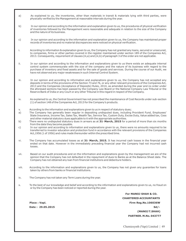- a) As explained to us, the inventories, other than materials in transit & materials lying with third parties, were physically verified by the Management at reasonable intervals during the year.
- b) In our opinion and according to the information and explanation given to us, the procedures of physical verification of inventories followed by the Management were reasonable and adequate in relation to the size of the Company and the nature of its business.
- c) In our opinion and according to the information and explanation given to us, the Company has maintained proper records of inventories and no material discrepancies were noticed on physical verification.
- i. According to information & explanation given to us, the Company has not granted any loans, secured or unsecured, to companies, firms or other parties covered in the register maintained under section 189 of the Companies Act, 2013. Consequently, requirement of clauses (iii,a) and (iii,b) of paragraph 3 of the order are not applicable.
- ii. In our opinion and according to the information and explanations given to us there exists an adequate internal control system commensurate with the size of the company and the nature of its business with regard to the purchase of inventory and fixed assets and for the sale of goods and services. During the course of our Audit, we have not observed any major weaknesses in such Internal Control System.
- iii. In our opinion and according to information and explanations given to us, the Company has not accepted any deposits in terms of the provisions of the Section 73 and 76, or any other relevant provisions of the Companies Act, 2013 and the Companies (Acceptance of Deposits) Rules, 2014, as amended during the year and no order under the aforesaid sections has been passed by the Company Law Board or the National Company Law Tribunal or the Reserve Bank of India or any Court or any other Tribunal in this regard in respect of the Company.
- iv. As explained to us, the Central Government has not prescribed the maintenance of Cost Records under sub-section (1) of section 148 of the Companies Act, 2013 for the Company's products.
- v. According to the information and explanations given to us in respect of statutory dues;
- a) The Company has generally been regular in depositing undisputed dues, including Provident Fund, Employees' State Insurance, Income Tax, Sales Tax, Wealth Tax, Service Tax, Custom Duty, Excise Duty, Value added tax, Cess and other material statutory dues applicable to it with the appropriate authorities.
- b) There were no undisputed statutory dues in arrears as at 31<sup>*\**</sup> March, 2015</sup> for a period of more than six months from the date they become payable.
- c) In our opinion and according to information and explanations given to us, there were no amounts required to be transferred to investor education and protection fund in accordance with the relevant provisions of the Companies Act,1956 (1 of 1956) and rules made thereunder within the prescribed time.
- vi. The Company has accumulated losses as at 31<sup>*\**</sup> March, 2015. It has incurred cash losses in the financial year ended on that date. However in the immediately preceding financial year the Company had not incurred cash losses.
- vii. Based on our audit procedures and on the information and explanations given by the management we are of the opinion that the Company has not defaulted in the repayment of dues to Banks as at the Balance Sheet date. The Company has not obtained any loan from financial institutions and debenture holders.
- viii. According to the information and explanations given to us, the Company has not given any guarantee for loans taken by others from banks or financial institutions.
- ix. The Company has not taken any Term Loans during the year.
- x. To the best of our knowledge and belief and according to the information and explanations given to us, no fraud on or by the Company has been noticed or reported during the year.

 **For MANOJ SHAH & CO. CHARTERED ACCOUNTANTS Place : Vapi. Firm Reg.No.106036W Date : 29.05.2015** Sd/- **(MANOJ T.SHAH) PARTNER. M.No. 043777**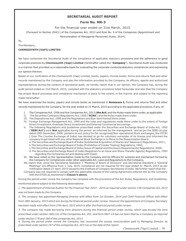#### **SECRETARIAL AUDIT REPORT**

#### **Form No. MR-3**

For the financial year ended on 31st March, 2015.

[Pursuant to Section 204(1) of the Companies Act, 2013 and Rule No. 9 of the Companies (Appointment and Remuneration of Managerial Personnel) Rules, 2014].

To,

The Members,

#### **CHEMIESYNTH (VAPI) LIMITED**

We have conducted the Secretarial Audit of the compliance of applicable statutory provisions and the adherence to good corporate practices by **Chemiesynth (Vapi) Limited** (hereinafter called the "**Company**"). Secretarial Audit was conducted in a manner that provided us a reasonable basis for evaluating the corporate conducts/statutory compliances and expressing our opinion thereon.

Based on our verification of the Chemiesynth (Vapi) Limited, books, papers, minute books, forms and returns filed and other records maintained by the Company and also the information provided by the Company, its officers, agents and authorized representatives during the conduct of secretarial audit, we hereby report that in our opinion, the Company has, during the audit period ended on 31st March, 2015, complied with the statutory provisions listed hereunder and also that the Company has proper Board-processes and compliance-mechanism in place to the extent, in the manner and subject to the reporting made hereinafter:

We have examined the books, papers and minute books as mentioned in **Annexure I,** Forms and returns filed and other records maintained by the Company, for the year ended on 31 March, 2015 according to the applicable provisions, if any, of:

- I. The Companies Act, 1956 and the Companies Act, 2013 (**the Act**) and the Rules made there under, as applicable.
- II. The Securities Contracts (Regulation) Act, 1956 (**'SCRA'**) and the Rules made there under.
- III. The Depositories Act, 1996 and the Regulations and Bye-laws framed there under.
- IV. Foreign Exchange Management Act, 1999 and the rules and regulations made there under to the extent of Foreign Direct Investment, Overseas Direct Investment and External Commercial borrowings.
- V. The following Regulations and Guidelines prescribed under the Securities and Exchange Board of India Act, 1992 (**'SEBI Act')** were **Not** applicable during the period as informed by the management and as per the SEBI circular dated 29th December, 2008 pertains to exit policy for De-recognized/Non-operational Stock exchanges, the OTCEI ( Over The Counter Exchange of India) has decided to go for voluntary surrender of its license and informed the company to get listed with any other Regional Stock Exchange or to Move to the Dissemination Board.
	- a.The Securities and Exchange Board of India (Substantial Acquisition of Shares and Takeovers) Regulations, 2011; b.The Securities and Exchange Board of India (Prohibition of Insider Trading) Regulations, 1992;
	- c.The Securities and Exchange Board of India (Issue of Capital and Disclosure Requirements) Regulations, 2009;
	- d.The Securities and Exchange Board of India (Registrars to an Issue and Share Transfer Agents) Regulations, 1993 regarding the Companies Act and dealing with Client;
- VI. We have relied on the representation made by the Company and its Officers for systems and mechanism formed by the Company for Compliances under other applicable Act, Laws and Regulations to the Company**.**
- We report that, since the Secretarial Standard-1 "Meeting of Board of Directors" and Secretarial Standard-2 "General Meetings" are effective from 1- July, 2015, compliance are not required for the year ended 31- March, 2015 as per notification dated 23<sup>®</sup> April, 2015 issued by the Institute of Company Secretaries of India. We further report that the Company was not required to comply with the applicable clauses of the Listing Agreement entered into by the Company with the OTCEI as mentioned in **Clause V above**.

During the period under review the company has complied with the provisions of the Act, Rules, Regulations, and Guidelines, mentioned above subject to the following observations:

*1. The appointment of Internal Auditor for the Financial Year 2014 – 2015 as required under section 138 Companies Act, 2013 was not been made by the Company.*

*2. The company has appointed Managing Director with effect from 1st October, 2014 and Chief Financial Officer with effect from 28th January, 2015 which are during the financial period under review. However the appointment of Company Secretary has been made with effect from 27th April, 2015 which is after the financial period under review.*

*3. The company has made borrowing from directors during the financial period under review, which was exceed the limit prescribed under section 180(1)© of the Companies Act, 201, and form MGT-14 has not been filed by a Company as required under section 179 and 180 of the companies Act, 2013.* 

*4. During the period under review the Company has recovered the excess remuneration paid to Managing Director as prescribed under section 197 of the companies Act, 2013 as on the date of this report.*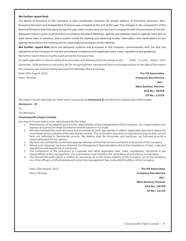#### **We further report that**:

The Board of Directors of the Company is duly constituted, however the proper balance of Executive Directors, Non-Executive Directors and Independent Directors was compiled at the end of the year. The changes in the composition of the Board of Directors that took place during the year under review were carried out in compliance with the provisions of the Act. Adequate notice is given to all directors to schedule the Board Meetings, agenda and detailed notes on agenda were sent at least seven days in advance, and a system exists for seeking and obtaining further information and clarifications on the agenda items before the meeting and for meaningful participation at the meeting.

**We further report that** there are adequate systems and processes in the company commensurate with the size and operations of the Company to monitor and ensure compliance with applicable laws, rules, regulations and guidelines. We further report that during the audit period the Company has;

% made application to Direct Listing of its securities with Bombay Stock Exchange as per SEBI circular dated 29th December, 2008 pertains to exit policy for De-recognized/Non-operational Stock exchanges and as on the date of this report the company has received listing approval from Bombay Stock Exchange.

Date:25th August, 2015 **For HS Associates**

Place: Mumbai **Company Secretaries Sd/- Nitin Sarfare, Partner ACS No.: 36769 CP No.: 13729**

This report is to be read with our letter which is annexed as **Annexure II** and forms an integral part of this report.

#### **Annexure – II**

To,

The Members,

#### **Chemiesynth (Vapi) Limited.**

Our report of even date is to be read along with this letter.

- 1. Maintenance of Secretarial record is the responsibility of the management of the Company. Our responsibility is to express an opinion on these Secretarial records based on our audit.
- 2. We have followed the audit practices and processes as were appropriate to obtain reasonable assurance about the correctness of the contents of the Secretarial records. The verification was done on test basis to ensure that correct facts are reflected in Secretarial records. We believe that the processes and practices, we followed provide a reasonable basis for our opinion.
- 3. We have not verified the correctness appropriateness of financial records and books of accounts of the Company.
- 4. Where ever required, we have obtained the Management Representation about the compliance of laws, rules and regulations and happening of events etc.
- 5. The compliance of the provisions of corporate and other applicable laws, rules, regulations, standards is the responsibility of the management. Our examination was limited to the verification of procedures on test basis.
- 6. The Secretarial audit report is neither an assurance as to the future viability of the Company nor of the Company nor of the efficacy or effectiveness with which the management has conducted the affairs of the Company.

Date:25th August, 2015. **For HS Associates** Place: Mumbai **Company Secretaries**

 **Sd/- Nitin Sarfare, Partner ACS No.: 36769 CP No.: 13729**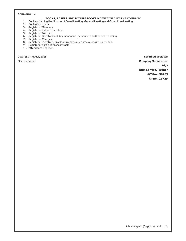#### **Annexure – I**

#### **BOOKS, PAPERS AND MINUTE BOOKS MAINTAINED BY THE COMPANY**

- 1. Book containing the Minutes of Board Meeting, General Meeting and Committee Meeting.
- 2. Book of accounts.
- 3. Register of Members.
- 4. Register of index of members.
- 5. Register of Transfer.
- 6. Register of Directors and Key managerial personnel and their shareholding.
- 7. Register of Charges.
- 8. Register of investments or loans made, guarantee or security provided.
- 9. Register of particulars of contracts.
- 10. Attendance Register.

Date:25th August, 2015 **For HS Associates**

Place: Mumbai **Company Secretaries Sd/- Nitin Sarfare, Partner ACS No.: 36769 CP No.: 13729**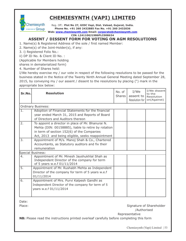# **CHEMIESYNTH (VAPI) LIMITED**

...... Group **Chemiesynth** 

Reg. Off.: **Plot No 27, GIDC Vapi, Dist. Valsad, Gujarat, India. Phone No. +91 260 2432885 Fax No. +91 260 2432036 Web: www.chemiesynth.com Email: corporate@chemiesynth.com**

**CIN: L24110GJ1986PLC008634** 

# **ASSENT / DISSENT FORM FOR VOTING ON AGM RESOLUTIONS**

1. Name(s) & Registered Address of the sole / first named Member:

2. Name(s) of the Joint-Holder(s), if any:

3. i) Registered Folio No.:

ii) DP ID No. & Client ID No. :

(Applicable for Members holding

shares in dematerialized form)

4. Number of Shares held:

I/We hereby exercise my / our vote in respect of the following resolutions to be passed for the business stated in the Notice of the Twenty Ninth Annual General Meeting dated September 28, 2015, by conveying my / our assent / dissent to the resolutions by placing (") mark in the appropriate box below:

| Sr.No.           | <b>Resolution</b>                                   | No. of<br>Shares I | I/We<br>assent to<br>Resolution for | I/We dissent<br>to the<br>Resolution<br>on(Against) |
|------------------|-----------------------------------------------------|--------------------|-------------------------------------|-----------------------------------------------------|
|                  | <b>Ordinary Business:</b>                           |                    |                                     |                                                     |
| ī.               | Adoption of Financial Statements for the financial  |                    |                                     |                                                     |
|                  | year ended March 31, 2015 and Reports of Board      |                    |                                     |                                                     |
|                  | of Directors and Auditors thereon                   |                    |                                     |                                                     |
| 2.               | To appoint a director in place of Mr. Bhanurai N.   |                    |                                     |                                                     |
|                  | Mehta (DIN: 00158885), liable to retire by rotation |                    |                                     |                                                     |
|                  | in term of section 152(6) of the Companies          |                    |                                     |                                                     |
|                  | Act, 2013 and being eligible, seeks reappointment   |                    |                                     |                                                     |
| 3.               | Appointment of M/s. Manoj Shah & Co., Chartered     |                    |                                     |                                                     |
|                  | Accountants, as Statutory auditors and fix their    |                    |                                     |                                                     |
|                  | remuneration                                        |                    |                                     |                                                     |
|                  | Special Business:                                   |                    |                                     |                                                     |
| 4.               | Appointment of Mr. Minesh Jayshukhlal Shah as       |                    |                                     |                                                     |
|                  | Independent Director of the company for term        |                    |                                     |                                                     |
| $\overline{5}$ . | of 5 years w.e.f 01/11/2014                         |                    |                                     |                                                     |
|                  | Appointment of Mr. Rushabh Mehta as Independent     |                    |                                     |                                                     |
|                  | Director of the company for term of 5 years w.e.f   |                    |                                     |                                                     |
|                  | 01/11/2014                                          |                    |                                     |                                                     |
| 6.               | Appointment of Mrs. Purvi Kalpesh Gandhi as         |                    |                                     |                                                     |
|                  | Independent Director of the company for term of 5   |                    |                                     |                                                     |
|                  | years w.e.f 01/11/2014                              |                    |                                     |                                                     |
|                  |                                                     |                    |                                     |                                                     |

Date:

Place: Signature of Shareholder and Shareholder Shareholder and Shareholder and Shareholder and Shareholder and Shareholder and Shareholder and Shareholder and Shareholder and Shareholder and Shareholder and Shareholder an /Authorised

Representative

**NB:** Please read the instructions printed overleaf carefully before completing this form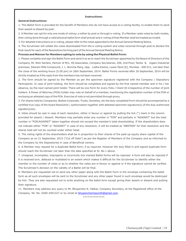#### **Instructions:**

#### **General Instructions:**

1. This Ballot Form is provided for the benefit of Members who do not have access to e-voting facility, to enable them to send their assent or dissent by post.

2. A Member can opt for only one mode of voting i.e either by post or through e-voting. If a Member casts votes by both modes, then voting done through a valid physical ballot form shall prevail and e-voting of that Member shall be treated as invalid.

3. For detailed instructions on e-voting, please refer to the notes appended to the Annual General Meeting Notice.

4. The Scrutiniser will collate the votes downloaded from the e-voting system and votes received through post to declare the final result for each of the Resolutions forming part of the Annual General Meeting Notice.

**Process and Manner for Members opting to vote by using the Physical Ballot Form:**

1. Please complete and sign the Ballot Form and send it so as to reach the Scrutiniser appointed by the Board of Directors of the Company, Mr. Nitin Sarfare, Partner of M/s. HS Associates, Company Secretaries, 206, 2nd Floor, Tantia & Jogani Industrial premises, Sitaram Mills Compound, J. L. Boricha Marg, Opp. Lodha Exelus, Lower Parel [E], Mumbai - 400 011, not later than the close of the working hours (5.00 pm) on 26th September, 2014. Ballot Forms received after 26 September, 2014 will be strictly treated as if the reply from the members has not been received.

2. The form should be signed by the Member as per the specimen signature registered with the Company / Depository Participants. In case of joint holding, the form should be completed and signed by the first named member and in his / her absence, by the next named joint holder. There will be one Form for every Folio / Client ID irrespective of the number of joint holders. A Power of Attorney (POA) holder may vote on behalf of a member, mentioning the registration number of the POA or enclosing an attested copy of the POA. Exercise of vote is not permitted through proxy.

3. For shares held by Companies, Bodies Corporate, Trusts, Societies, etc the duly completed Form should be accompanied by a certified true copy of the board Resolution / authorization together with attested specimen signature(s) of the duly authorized signatory(ies).

4. Votes should be cast in case of each resolution, either in favour or against by putting the tick (") mark in the column provided for assent / dissent. Members may partially enter any number in "FOR" and partially in "AGAINST" but the total number in "FOR/AGAINST" taken together should not exceed the member's total shareholding. If the shareholders does not indicate either "FOR" or "AGAINST" in case of any resolution, it will be treated as "ABSTAIN" for that resolution and the shares held will not be counted under either head.

5. The voting rights of the shareholders shall be in proportion to their shares of the paid-up equity share capital of the Company as on 21 September, 2015 ("Cut off Date") as per the Register of Members of the Company and as informed to the Company by the Depositories in case of Beneficial owners.

6. A Member may request for a duplicate Ballot form, if so required. However the duly filled in and signed duplicate form should reach the Scrutiniser not later than the date specified at Sr. No.1 above.

7. Unsigned, incomplete, improperly or incorrectly tick marked Ballot forms will be rejected. A form will also be rejected if it is received torn, defaced or mutilated to an extent which makes it difficult for the Scrutiniser to identify either the member or the number of votes or as to whether the votes are in favour or against or if the signature cannot be verified. The Scrutiniser's decision on the validity of a Ballot will be final.

8. Members are requested not to send any other paper along with the Ballot Form in the envelope containing the ballot form as all such envelopes will be sent to the Scrutiniser and any other paper found in such envelope would be destroyed by him. They are also requested not to write anything on the ballot form except giving their assent or dissent and putting their signature.

11. Members may address any query to Mr. Bhupendra N. Hatkar, Company Secretary, at the Registered office of the Company, Tel. No. 0260-2401327 or by email at bhupenchemiesynth@gmail.com.

\*\*\*\*\*\*\*\*\*\*\*\*\*\*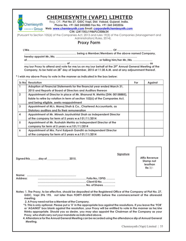

# **CHEMIESYNTH (VAPI) LIMITED**

Reg. Off.: **Plot No 27, GIDC Vapi, Dist. Valsad, Gujarat, India. Phone No. +91 260 2432885 Fax No. +91 260 2432036** 

#### **Web: www.chemiesynth.com Email: corporate@chemiesynth.com**

**CIN: L24110GJ1986PLC008634**

(Pursuant to Section 105(6) of the Companies Act, 2013 and rules 19(3) of the Companies (Management and Administration) Rules, 2014).

# **Proxy Form**

**the** my/our Proxy to attend and vote for me/us on my/our behalf at the 29<sup>th</sup> Annual General Meeting of the Company, to be held on 28<sup>th</sup> day of September, 2015 at 11:30 A.M. and at any adjournment thereof.

**\* I wish my above Proxy to vote in the manner as indicated in the box below:**

| Sr.Nol         | Resolution                                                                   | For | <b>Against</b> |
|----------------|------------------------------------------------------------------------------|-----|----------------|
|                | Adoption of Financial Statements for the financial year ended March 31,      |     |                |
|                | 2015 and Reports of Board of Directors and Auditors thereon                  |     |                |
| $\overline{2}$ | Appointment of Director in place of Mr. Bhanurai N. Mehta (DIN: 00158885),   |     |                |
|                | liable to retire by rotation in term of section 152(6) of the Companies Act, |     |                |
|                | and being eligible, seeks reappointment                                      |     |                |
| 3              | Appointment of M/s. Manoj Shah & Co., Chartered Accountants, as              |     |                |
|                | Statutory auditors and fix their remuneration                                |     |                |
| 4              | Appointment of Mr. Minesh Jayshukhlal Shah as Independent Director           |     |                |
|                | of the company for term of 5 years w.e.f 01/11/2014                          |     |                |
| 5              | Appointment of Mr. Rushabh Mehta as Independent Director of the              |     |                |
|                | company for term of 5 years w.e.f 01/11/2014                                 |     |                |
| 6              | Appointment of Mrs. Purvi Kalpesh Gandhi as Independent Director             |     |                |
|                | of the company for term of 5 years w.e.f 01/11/2014                          |     |                |

**Signed this \_\_\_\_\_\_day of \_\_\_\_\_\_\_\_\_\_\_\_\_\_\_\_ 2015.**

**Signature**

**Affix Revenue Stamp not lessthan Re.1/-**

**Name: ................................................................ Address: ............................................................... Folio No./ DPID. ……… ............................................................... Client ID No. ………….. …………………….................................. No. of Shares. …………** 

**Notes: 1. The Proxy, to be effective, should be deposited at the Registered Office of the Company at Plot No. 27, GIDC, Vapi 396 195. not later than FORTY-EIGHT HOURS before the commencement of the aforesaid meeting.**

**2. A Proxy need not be a Member of the Company.**

**\*3. This is only optional. Please put a 'X' in the appropriate box against the resolutions. If you leave the 'FOR' or 'AGAINST' box blank against the resolution, your Proxy will be entitled to vote in the manner as he/she thinks appropriate. Should you so desire, you may also appoint the Chairman of the Company as your Proxy, who shall carry out your mandate as indicated above.** 

 **4. Attendance for the Annual General Meeting can be recorded using the attendance slip of Annual General Meeting.**